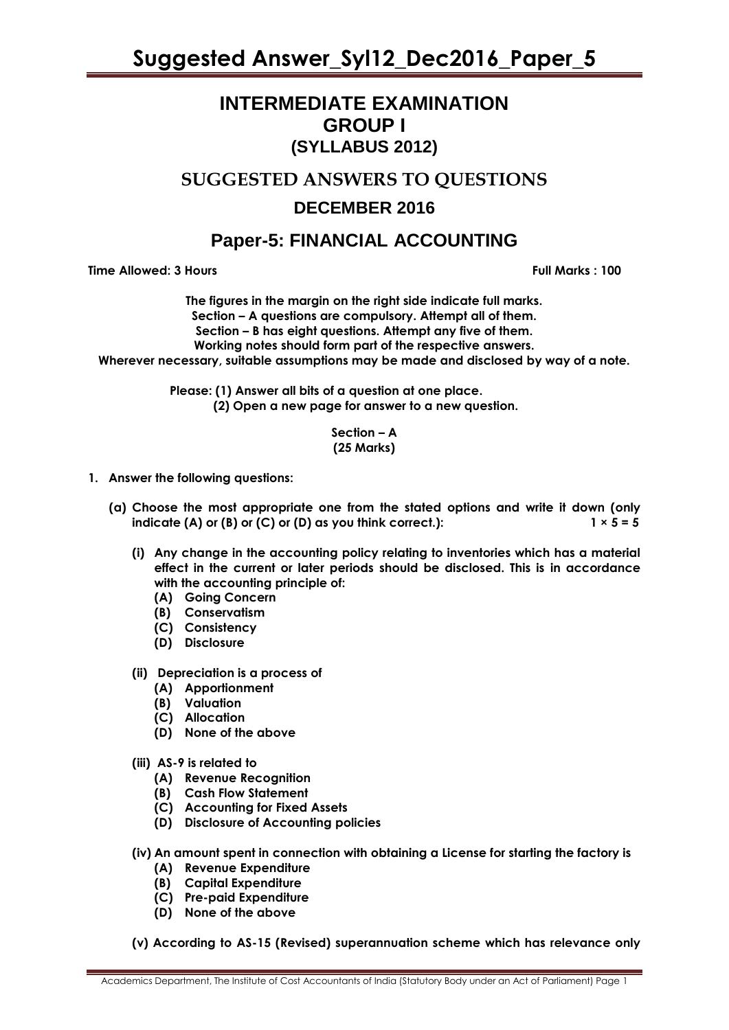### **INTERMEDIATE EXAMINATION GROUP I (SYLLABUS 2012)**

**SUGGESTED ANSWERS TO QUESTIONS**

### **DECEMBER 2016**

### **Paper-5: FINANCIAL ACCOUNTING**

**Time Allowed: 3 Hours Full Marks : 100** 

**The figures in the margin on the right side indicate full marks. Section – A questions are compulsory. Attempt all of them. Section – B has eight questions. Attempt any five of them. Working notes should form part of the respective answers. Wherever necessary, suitable assumptions may be made and disclosed by way of a note.**

> **Please: (1) Answer all bits of a question at one place. (2) Open a new page for answer to a new question.**

#### **Section – A (25 Marks)**

- **1. Answer the following questions:**
	- **(a) Choose the most appropriate one from the stated options and write it down (only indicate (A) or (B) or (C) or (D) as you think correct.):**  $1 \times 5 = 5$ 
		- **(i) Any change in the accounting policy relating to inventories which has a material effect in the current or later periods should be disclosed. This is in accordance with the accounting principle of:**
			- **(A) Going Concern**
			- **(B) Conservatism**
			- **(C) Consistency**
			- **(D) Disclosure**
		- **(ii) Depreciation is a process of**
			- **(A) Apportionment**
			- **(B) Valuation**
			- **(C) Allocation**
			- **(D) None of the above**
		- **(iii) AS-9 is related to**
			- **(A) Revenue Recognition**
			- **(B) Cash Flow Statement**
			- **(C) Accounting for Fixed Assets**
			- **(D) Disclosure of Accounting policies**
		- **(iv) An amount spent in connection with obtaining a License for starting the factory is**
			- **(A) Revenue Expenditure**
			- **(B) Capital Expenditure**
			- **(C) Pre-paid Expenditure**
			- **(D) None of the above**
		- **(v) According to AS-15 (Revised) superannuation scheme which has relevance only**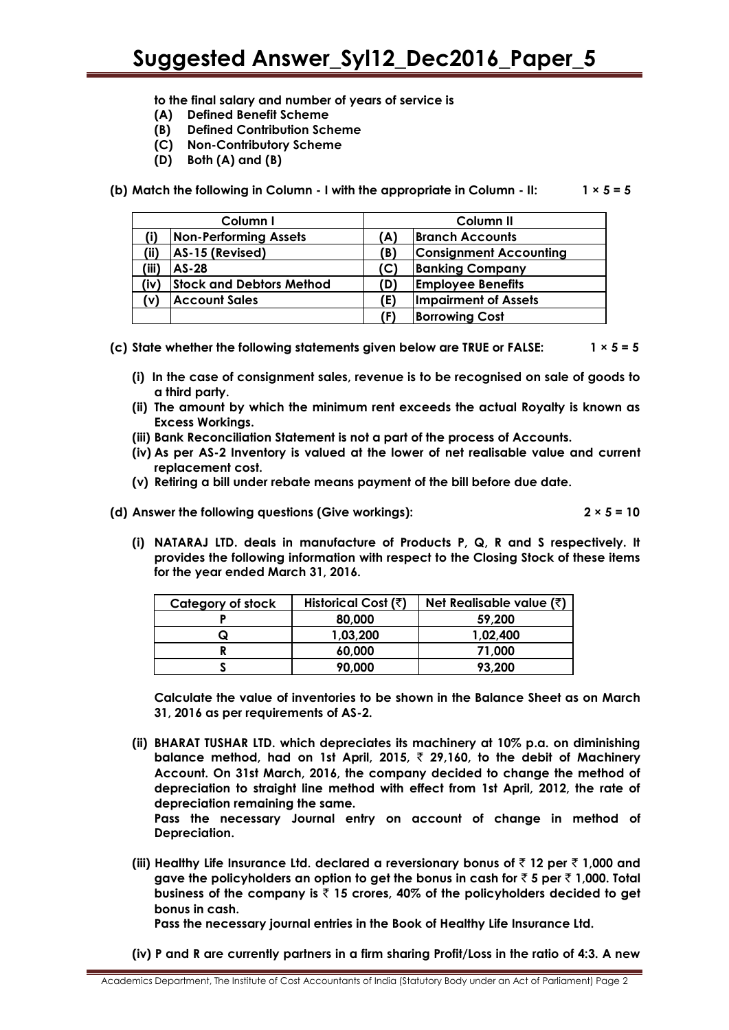**to the final salary and number of years of service is**

- **(A) Defined Benefit Scheme**
- **(B) Defined Contribution Scheme**
- **(C) Non-Contributory Scheme**
- **(D) Both (A) and (B)**
- **(b) Match the following in Column - I with the appropriate in Column - II: 1 × 5 = 5**

| Column I |                              | Column II |                               |  |
|----------|------------------------------|-----------|-------------------------------|--|
|          | <b>Non-Performing Assets</b> | (A)       | <b>Branch Accounts</b>        |  |
| (ii)     | AS-15 (Revised)              | (B)       | <b>Consignment Accounting</b> |  |
| (iii)    | $AS-28$                      | (C)       | <b>Banking Company</b>        |  |
| (iv)     | Stock and Debtors Method     | (D)       | <b>Employee Benefits</b>      |  |
| (v)      | <b>Account Sales</b>         | (E)       | <b>Impairment of Assets</b>   |  |
|          |                              | (F)       | <b>Borrowing Cost</b>         |  |

**(c) State whether the following statements given below are TRUE or FALSE: 1 × 5 = 5**

- **(i) In the case of consignment sales, revenue is to be recognised on sale of goods to a third party.**
- **(ii) The amount by which the minimum rent exceeds the actual Royalty is known as Excess Workings.**
- **(iii) Bank Reconciliation Statement is not a part of the process of Accounts.**
- **(iv) As per AS-2 Inventory is valued at the lower of net realisable value and current replacement cost.**
- **(v) Retiring a bill under rebate means payment of the bill before due date.**
- **(d) Answer the following questions (Give workings): 2 × 5 = 10**

**(i) NATARAJ LTD. deals in manufacture of Products P, Q, R and S respectively. It provides the following information with respect to the Closing Stock of these items for the year ended March 31, 2016.**

| Category of stock | Historical Cost (₹) | <b>Net Realisable value (<math>\bar{z}</math>)</b> |  |  |
|-------------------|---------------------|----------------------------------------------------|--|--|
|                   | 80,000              | 59,200                                             |  |  |
| ر                 | 1,03,200            | 1,02,400                                           |  |  |
|                   | 60.000              | 71.000                                             |  |  |
|                   | 90,000              | 93,200                                             |  |  |

**Calculate the value of inventories to be shown in the Balance Sheet as on March 31, 2016 as per requirements of AS-2.**

**(ii) BHARAT TUSHAR LTD. which depreciates its machinery at 10% p.a. on diminishing balance method, had on 1st April, 2015,** ` **29,160, to the debit of Machinery Account. On 31st March, 2016, the company decided to change the method of depreciation to straight line method with effect from 1st April, 2012, the rate of depreciation remaining the same.**

**Pass the necessary Journal entry on account of change in method of Depreciation.**

**(iii) Healthy Life Insurance Ltd. declared a reversionary bonus of** ` **12 per** ` **1,000 and gave the policyholders an option to get the bonus in cash for** ` **5 per** ` **1,000. Total business of the company is** ` **15 crores, 40% of the policyholders decided to get bonus in cash.**

**Pass the necessary journal entries in the Book of Healthy Life Insurance Ltd.**

**(iv) P and R are currently partners in a firm sharing Profit/Loss in the ratio of 4:3. A new**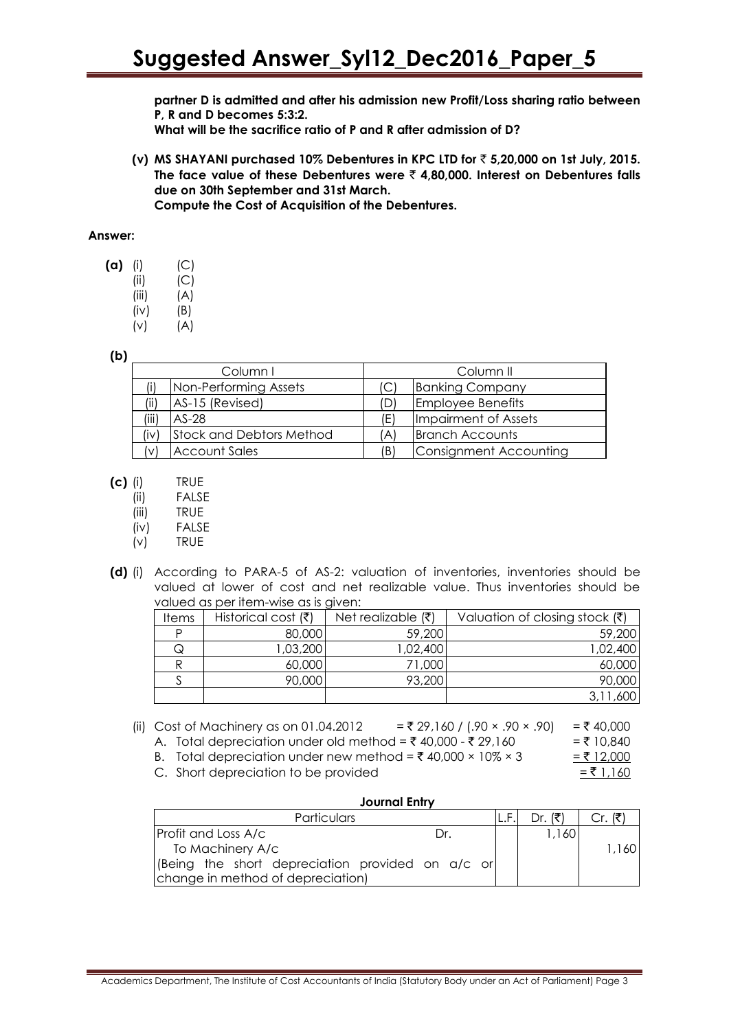**partner D is admitted and after his admission new Profit/Loss sharing ratio between P, R and D becomes 5:3:2.**

**What will be the sacrifice ratio of P and R after admission of D?**

**(v) MS SHAYANI purchased 10% Debentures in KPC LTD for** ` **5,20,000 on 1st July, 2015. The face value of these Debentures were** ` **4,80,000. Interest on Debentures falls due on 30th September and 31st March.**

**Compute the Cost of Acquisition of the Debentures.**

#### **Answer:**

- **(a)** (i) (C) (ii) (C)  $(iii)$   $(A)$  $(iv)$   $(B)$ (v) (A)
- **(b)**

| Column I |                                 |     | Column II                |
|----------|---------------------------------|-----|--------------------------|
|          | Non-Performing Assets           |     | <b>Banking Company</b>   |
| (ii)     | AS-15 (Revised)                 | D)  | <b>Employee Benefits</b> |
| (iii)    | $AS-28$                         | (E) | Impairment of Assets     |
| (iv)     | <b>Stock and Debtors Method</b> | 'A) | <b>Branch Accounts</b>   |
| (v)      | <b>Account Sales</b>            | (B) | Consignment Accounting   |

- **(c)** (i) TRUE
	- (ii) FALSE
	- (iii) TRUE
	- (iv) FALSE
	- (v) TRUE
- **(d)** (i) According to PARA-5 of AS-2: valuation of inventories, inventories should be valued at lower of cost and net realizable value. Thus inventories should be valued as per item-wise as is given:

| <b>Items</b> | Historical cost $(\bar{\tau})$ | Net realizable $(\bar{\zeta})$ | Valuation of closing stock $(\bar{\zeta})$ |
|--------------|--------------------------------|--------------------------------|--------------------------------------------|
|              | 80,000                         | 59,200                         | 59,200                                     |
| Q            | ,03,200                        | 02,400, 1                      | 1,02,400                                   |
|              | 60,000                         | 71,000                         | 60,000                                     |
|              | 90,000                         | 93,200                         | 90,000                                     |
|              |                                |                                |                                            |

(ii) Cost of Machinery as on 01.04.2012 = ₹ 29,160 / (.90 × .90 × .90) = ₹ 40,000 A. Total depreciation under old method =  $\bar{\xi}$  40,000 -  $\bar{\xi}$  29,160 =  $\bar{\xi}$  10,840

- B. Total depreciation under new method =  $\overline{(} 40,000 \times 10\% \times 3$  =  $\overline{(} 12,000$
- C. Short depreciation to be provided

|--|--|

| Journal Entry                                    |  |                |         |  |  |  |  |
|--------------------------------------------------|--|----------------|---------|--|--|--|--|
| Particulars                                      |  | Dr <i>(ই</i> ) | Cr. (₹) |  |  |  |  |
| <b>Profit and Loss A/c</b><br>Dr.                |  | 1,160          |         |  |  |  |  |
| To Machinery A/c                                 |  |                | 1,160   |  |  |  |  |
| (Being the short depreciation provided on a/c or |  |                |         |  |  |  |  |
| change in method of depreciation)                |  |                |         |  |  |  |  |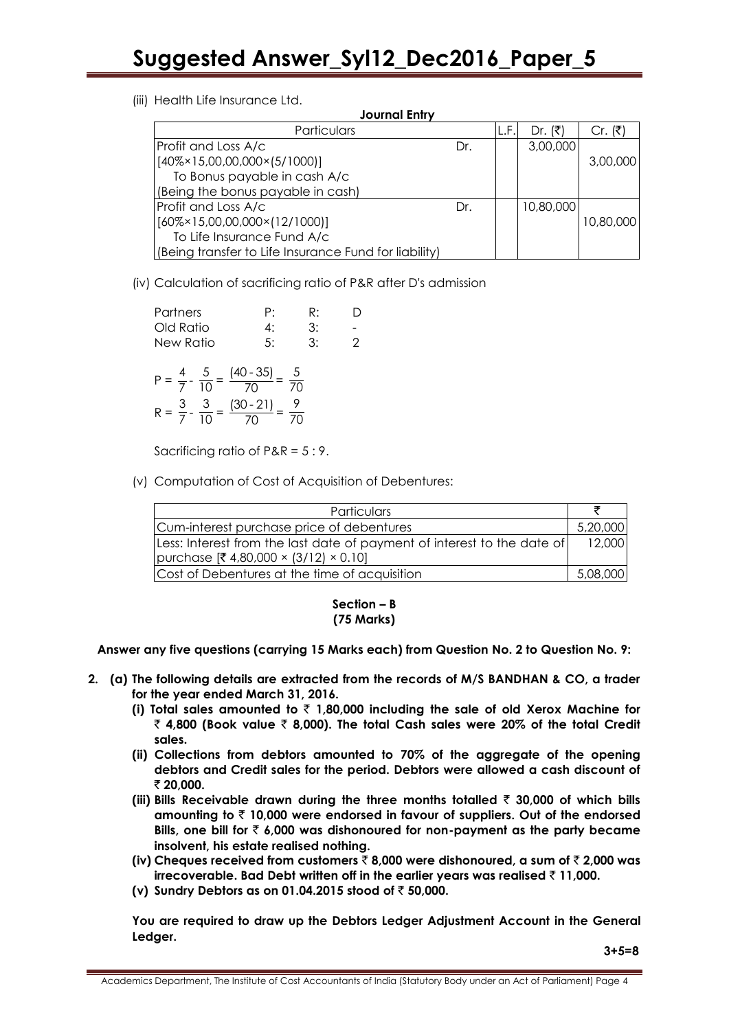(iii) Health Life Insurance Ltd.

| <b>Journal Entry</b>                                  |     |       |           |           |  |  |  |
|-------------------------------------------------------|-----|-------|-----------|-----------|--|--|--|
| Particulars                                           |     | ١L.F. | Dr. (₹)   | Cr. (₹)   |  |  |  |
| Profit and Loss A/c                                   | Dr. |       | 3,00,000  |           |  |  |  |
| $[40\% \times 15,00,00,000 \times (5/1000)]$          |     |       |           | 3,00,000  |  |  |  |
| To Bonus payable in cash A/c                          |     |       |           |           |  |  |  |
| (Being the bonus payable in cash)                     |     |       |           |           |  |  |  |
| Profit and Loss A/c                                   | Dr. |       | 10,80,000 |           |  |  |  |
| $[60\% \times 15,00,00,000 \times (12/1000)]$         |     |       |           | 10,80,000 |  |  |  |
| To Life Insurance Fund A/c                            |     |       |           |           |  |  |  |
| (Being transfer to Life Insurance Fund for liability) |     |       |           |           |  |  |  |

(iv) Calculation of sacrificing ratio of P&R after D's admission

| Partners                       | P:                         | R: |  |
|--------------------------------|----------------------------|----|--|
| Old Ratio                      | 4:                         | 3: |  |
| New Ratio                      | 5:                         | 3: |  |
| $\frac{4}{7} - \frac{5}{10} =$ | $(40 - 35)$<br>$(30 - 21)$ | 'N |  |

Sacrificing ratio of P&R = 5 : 9.

(v) Computation of Cost of Acquisition of Debentures:

| Particulars                                                             |          |
|-------------------------------------------------------------------------|----------|
| Cum-interest purchase price of debentures                               | 5,20,000 |
| Less: Interest from the last date of payment of interest to the date of | 12,000   |
| purchase $[4,80,000 \times (3/12) \times 0.10]$                         |          |
| Cost of Debentures at the time of acquisition                           | 5,08,000 |

#### **Section – B (75 Marks)**

**Answer any five questions (carrying 15 Marks each) from Question No. 2 to Question No. 9:**

- **2. (a) The following details are extracted from the records of M/S BANDHAN & CO, a trader for the year ended March 31, 2016.** 
	- **(i) Total sales amounted to** ` **1,80,000 including the sale of old Xerox Machine for**  ` **4,800 (Book value** ` **8,000). The total Cash sales were 20% of the total Credit sales.**
	- **(ii) Collections from debtors amounted to 70% of the aggregate of the opening debtors and Credit sales for the period. Debtors were allowed a cash discount of**  ` **20,000.**
	- **(iii) Bills Receivable drawn during the three months totalled** ` **30,000 of which bills amounting to** ` **10,000 were endorsed in favour of suppliers. Out of the endorsed Bills, one bill for** ` **6,000 was dishonoured for non-payment as the party became insolvent, his estate realised nothing.**
	- **(iv) Cheques received from customers** ` **8,000 were dishonoured, a sum of** ` **2,000 was irrecoverable. Bad Debt written off in the earlier years was realised** ` **11,000.**
	- **(v) Sundry Debtors as on 01.04.2015 stood of** ` **50,000.**

**You are required to draw up the Debtors Ledger Adjustment Account in the General Ledger.**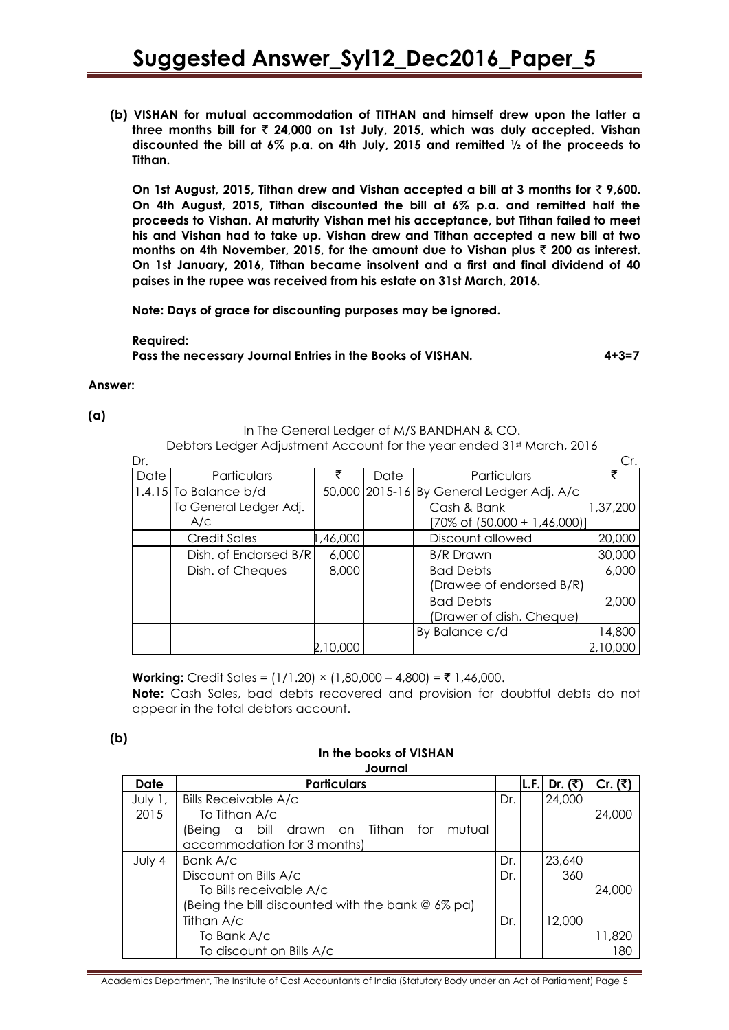**(b) VISHAN for mutual accommodation of TITHAN and himself drew upon the latter a three months bill for** ` **24,000 on 1st July, 2015, which was duly accepted. Vishan discounted the bill at 6% p.a. on 4th July, 2015 and remitted ½ of the proceeds to Tithan.**

**On 1st August, 2015, Tithan drew and Vishan accepted a bill at 3 months for** ` **9,600. On 4th August, 2015, Tithan discounted the bill at 6% p.a. and remitted half the proceeds to Vishan. At maturity Vishan met his acceptance, but Tithan failed to meet his and Vishan had to take up. Vishan drew and Tithan accepted a new bill at two months on 4th November, 2015, for the amount due to Vishan plus** ` **200 as interest. On 1st January, 2016, Tithan became insolvent and a first and final dividend of 40 paises in the rupee was received from his estate on 31st March, 2016.**

**Note: Days of grace for discounting purposes may be ignored.**

**Required: Pass the necessary Journal Entries in the Books of VISHAN. 4+3=7**

#### **Answer:**

**(a)**

In The General Ledger of M/S BANDHAN & CO.

Debtors Ledger Adjustment Account for the year ended 31st March, 2016

| Dr.  |                         |          |      |                                           | Cr.      |
|------|-------------------------|----------|------|-------------------------------------------|----------|
| Date | Particulars             |          | Date | Particulars                               |          |
|      | $1.4.15$ To Balance b/d |          |      | 50,000 2015-16 By General Ledger Adj. A/c |          |
|      | To General Ledger Adj.  |          |      | Cash & Bank                               | 1,37,200 |
|      | A/c                     |          |      | $[70\% \text{ of } (50,000 + 1,46,000)]$  |          |
|      | <b>Credit Sales</b>     | ,46,000  |      | Discount allowed                          | 20,000   |
|      | Dish. of Endorsed B/R   | 6,000    |      | <b>B/R</b> Drawn                          | 30,000   |
|      | Dish. of Cheques        | 8,000    |      | <b>Bad Debts</b>                          | 6,000    |
|      |                         |          |      | (Drawee of endorsed B/R)                  |          |
|      |                         |          |      | <b>Bad Debts</b>                          | 2,000    |
|      |                         |          |      | (Drawer of dish. Cheque)                  |          |
|      |                         |          |      | By Balance c/d                            | 14,800   |
|      |                         | 2,10,000 |      |                                           | 2,10,000 |

**Working:** Credit Sales =  $(1/1.20) \times (1.80,000 - 4.800) = ₹ 1,46,000$ . **Note:** Cash Sales, bad debts recovered and provision for doubtful debts do not appear in the total debtors account.

#### **(b)**

#### **In the books of VISHAN Journal**

| Date    | <b>Particulars</b>                                    |     | L.F. | Dr. (₹) | Cr. (₹) |
|---------|-------------------------------------------------------|-----|------|---------|---------|
| July 1, | <b>Bills Receivable A/c</b>                           | Dr. |      | 24,000  |         |
| 2015    | To Tithan A/c                                         |     |      |         | 24,000  |
|         | bill drawn on Tithan for mutual<br>(Being<br>$\alpha$ |     |      |         |         |
|         | accommodation for 3 months)                           |     |      |         |         |
| July 4  | Bank A/c                                              | Dr. |      | 23,640  |         |
|         | Discount on Bills A/c                                 | Dr. |      | 360     |         |
|         | To Bills receivable A/c                               |     |      |         | 24,000  |
|         | (Being the bill discounted with the bank $@6\%$ pa)   |     |      |         |         |
|         | Tithan A/c                                            | Dr. |      | 12,000  |         |
|         | To Bank A/c                                           |     |      |         | 11,820  |
|         | To discount on Bills A/c                              |     |      |         | 180     |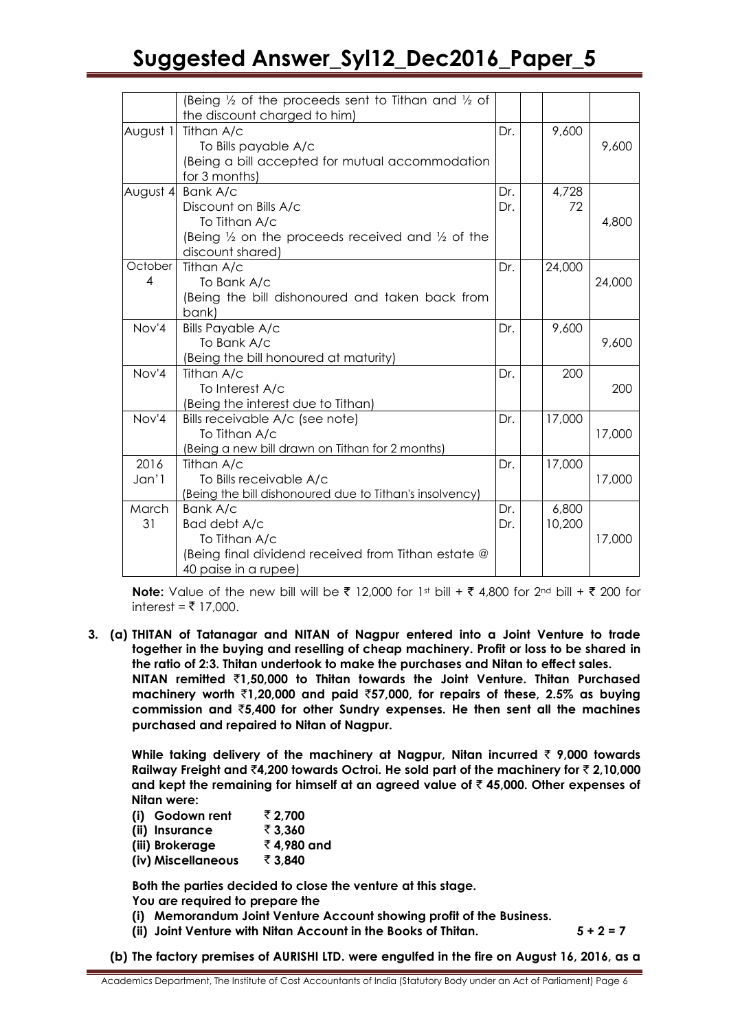|                           | (Being $\frac{1}{2}$ of the proceeds sent to Tithan and $\frac{1}{2}$ of<br>the discount charged to him)                                         |            |                 |        |
|---------------------------|--------------------------------------------------------------------------------------------------------------------------------------------------|------------|-----------------|--------|
| August 1                  | Tithan A/c<br>To Bills payable A/c<br>(Being a bill accepted for mutual accommodation<br>for 3 months)                                           | Dr.        | 9,600           | 9,600  |
| August 4                  | Bank A/c<br>Discount on Bills A/c<br>To Tithan A/c<br>(Being $\frac{1}{2}$ on the proceeds received and $\frac{1}{2}$ of the<br>discount shared) | Dr.<br>Dr. | 4,728<br>72     | 4,800  |
| October<br>$\overline{4}$ | Tithan A/c<br>To Bank A/c<br>(Being the bill dishonoured and taken back from<br>bank)                                                            | Dr.        | 24,000          | 24,000 |
| Nov'4                     | <b>Bills Payable A/c</b><br>To Bank A/c<br>(Being the bill honoured at maturity)                                                                 | Dr.        | 9,600           | 9,600  |
| Nov'4                     | Tithan A/c<br>To Interest A/c<br>(Being the interest due to Tithan)                                                                              | Dr.        | 200             | 200    |
| Nov'4                     | Bills receivable A/c (see note)<br>To Tithan A/c<br>(Being a new bill drawn on Tithan for 2 months)                                              | Dr.        | 17,000          | 17,000 |
| 2016<br>Jan'1             | Tithan A/c<br>To Bills receivable A/c<br>(Being the bill dishonoured due to Tithan's insolvency)                                                 | Dr.        | 17,000          | 17,000 |
| March<br>31               | Bank A/c<br>Bad debt A/c<br>To Tithan A/c<br>(Being final dividend received from Tithan estate @<br>40 paise in a rupee)                         | Dr.<br>Dr. | 6,800<br>10,200 | 17,000 |

**Note:** Value of the new bill will be  $\bar{\xi}$  12,000 for 1st bill +  $\bar{\xi}$  4,800 for 2nd bill +  $\bar{\xi}$  200 for interest = ₹ 17,000.

**3. (a) THITAN of Tatanagar and NITAN of Nagpur entered into a Joint Venture to trade together in the buying and reselling of cheap machinery. Profit or loss to be shared in the ratio of 2:3. Thitan undertook to make the purchases and Nitan to effect sales. NITAN remitted** `**1,50,000 to Thitan towards the Joint Venture. Thitan Purchased machinery worth** `**1,20,000 and paid** `**57,000, for repairs of these, 2.5% as buying commission and** `**5,400 for other Sundry expenses. He then sent all the machines purchased and repaired to Nitan of Nagpur.**

**While taking delivery of the machinery at Nagpur, Nitan incurred** ` **9,000 towards Railway Freight and** `**4,200 towards Octroi. He sold part of the machinery for** ` **2,10,000 and kept the remaining for himself at an agreed value of** ` **45,000. Other expenses of Nitan were:**

| (i) Godown rent    | ₹ 2.700    |
|--------------------|------------|
| (ii) Insurance     | ₹ 3,360    |
| (iii) Brokerage    | ₹4,980 and |
| (iv) Miscellaneous | ₹ 3.840    |

**Both the parties decided to close the venture at this stage.** 

**You are required to prepare the**

- **(i) Memorandum Joint Venture Account showing profit of the Business.**
- **(ii) Joint Venture with Nitan Account in the Books of Thitan. 5 + 2 = 7**

**(b) The factory premises of AURISHI LTD. were engulfed in the fire on August 16, 2016, as a**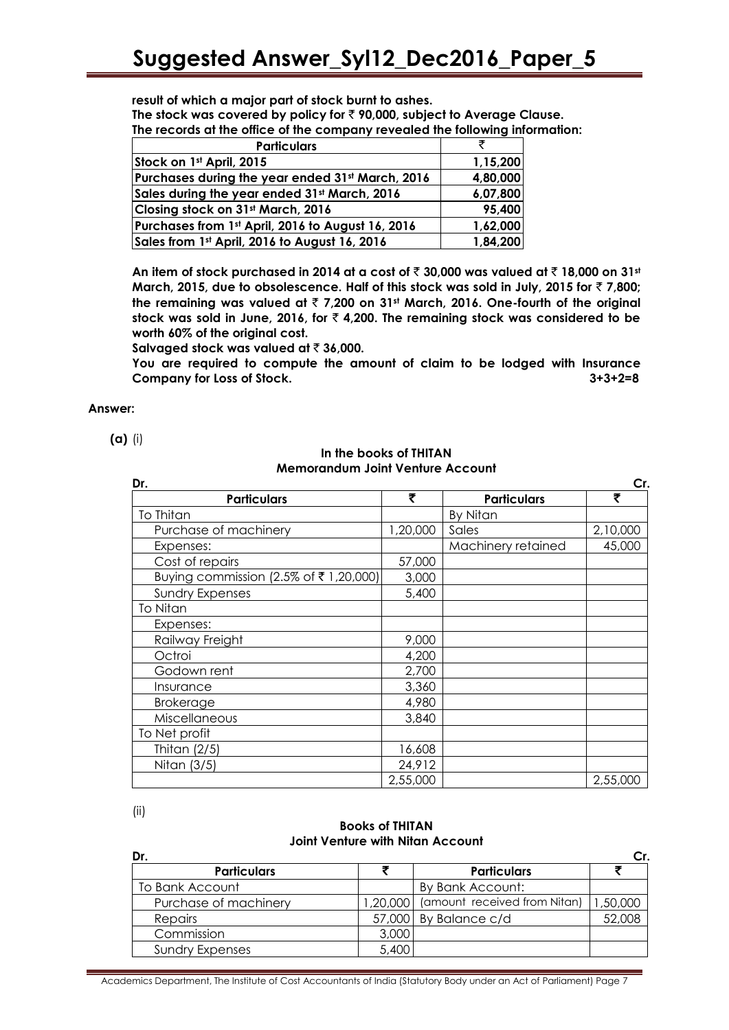**result of which a major part of stock burnt to ashes.**

**The stock was covered by policy for** ` **90,000, subject to Average Clause.**

**The records at the office of the company revealed the following information:**

| <b>Particulars</b>                                |          |
|---------------------------------------------------|----------|
| Stock on 1st April, 2015                          | 1,15,200 |
| Purchases during the year ended 31st March, 2016  | 4,80,000 |
| Sales during the year ended 31st March, 2016      | 6,07,800 |
| Closing stock on 31st March, 2016                 | 95,400   |
| Purchases from 1st April, 2016 to August 16, 2016 | 1,62,000 |
| Sales from 1st April, 2016 to August 16, 2016     | 1,84,200 |

**An item of stock purchased in 2014 at a cost of** ` **30,000 was valued at** ` **18,000 on 31st March, 2015, due to obsolescence. Half of this stock was sold in July, 2015 for ₹7,800; the remaining was valued at** ` **7,200 on 31st March, 2016. One-fourth of the original stock was sold in June, 2016, for** ` **4,200. The remaining stock was considered to be worth 60% of the original cost.**

**Salvaged stock was valued at ₹ 36,000.** 

**You are required to compute the amount of claim to be lodged with Insurance Company for Loss of Stock. 3+3+2=8**

#### **Answer:**

**(a)** (i)

#### **In the books of THITAN Memorandum Joint Venture Account**

| Dr.                                   |          |                    | Cr.      |
|---------------------------------------|----------|--------------------|----------|
| <b>Particulars</b>                    | ₹        | <b>Particulars</b> | ₹        |
| To Thitan                             |          | By Nitan           |          |
| Purchase of machinery                 | 1,20,000 | Sales              | 2,10,000 |
| Expenses:                             |          | Machinery retained | 45,000   |
| Cost of repairs                       | 57,000   |                    |          |
| Buying commission (2.5% of ₹1,20,000) | 3,000    |                    |          |
| <b>Sundry Expenses</b>                | 5,400    |                    |          |
| To Nitan                              |          |                    |          |
| Expenses:                             |          |                    |          |
| Railway Freight                       | 9,000    |                    |          |
| Octroi                                | 4,200    |                    |          |
| Godown rent                           | 2,700    |                    |          |
| Insurance                             | 3,360    |                    |          |
| <b>Brokerage</b>                      | 4,980    |                    |          |
| Miscellaneous                         | 3,840    |                    |          |
| To Net profit                         |          |                    |          |
| Thitan $(2/5)$                        | 16,608   |                    |          |
| Nitan (3/5)                           | 24,912   |                    |          |
|                                       | 2,55,000 |                    | 2,55,000 |

(ii)

#### **Books of THITAN Joint Venture with Nitan Account**

| Dr.                    |       |                                       | Cr.      |
|------------------------|-------|---------------------------------------|----------|
| <b>Particulars</b>     |       | <b>Particulars</b>                    |          |
| To Bank Account        |       | By Bank Account:                      |          |
| Purchase of machinery  |       | 1,20,000 (amount received from Nitan) | 1,50,000 |
| <b>Repairs</b>         |       | $57,000$ By Balance c/d               | 52,008   |
| Commission             | 3,000 |                                       |          |
| <b>Sundry Expenses</b> | 5,400 |                                       |          |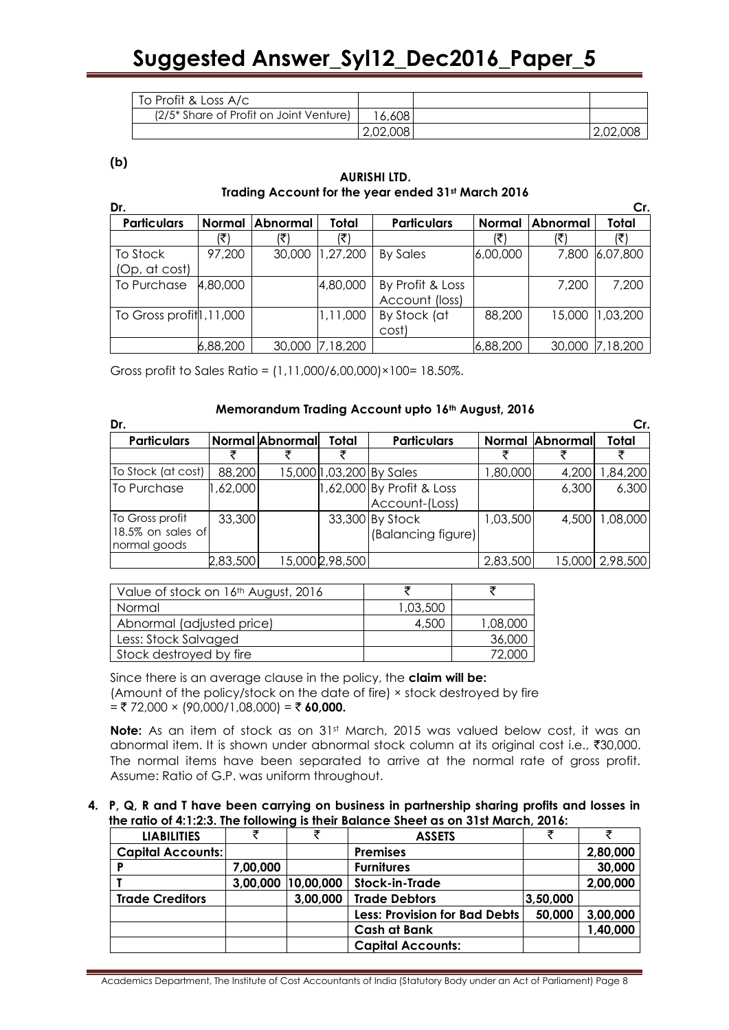| To Profit & Loss A/c                                |          |          |
|-----------------------------------------------------|----------|----------|
| (2/5 <sup>*</sup> Share of Profit on Joint Venture) | 16,6081  |          |
|                                                     | 2,02,008 | 2,02,008 |

**(b)**

#### **AURISHI LTD. Trading Account for the year ended 31st March 2016**

| Dr.                        |               |                 |          |                    |               |          | Cr.      |
|----------------------------|---------------|-----------------|----------|--------------------|---------------|----------|----------|
| <b>Particulars</b>         | <b>Normal</b> | <b>Abnormal</b> | Total    | <b>Particulars</b> | <b>Normal</b> | Abnormal | Total    |
|                            |               |                 | ₹        |                    |               |          |          |
| To Stock                   | 97,200        | 30,000          | 1,27,200 | <b>By Sales</b>    | 6,00,000      | 7,800    | 6,07,800 |
| (Op, at cost)              |               |                 |          |                    |               |          |          |
| To Purchase                | 4,80,000      |                 | 4,80,000 | By Profit & Loss   |               | 7,200    | 7,200    |
|                            |               |                 |          | Account (loss)     |               |          |          |
| To Gross profit $1,11,000$ |               |                 | 1,11,000 | By Stock (at       | 88,200        | 15,000   | 1,03,200 |
|                            |               |                 |          | cost)              |               |          |          |
|                            | 6,88,200      | 30,000          | 7,18,200 |                    | 6,88,200      | 30,000   | 7,18,200 |

Gross profit to Sales Ratio = (1,11,000/6,00,000)×100= 18.50%.

#### **Memorandum Trading Account upto 16th August, 2016**

| Dr.                |          |                 |                 |                             |          |          |                 |
|--------------------|----------|-----------------|-----------------|-----------------------------|----------|----------|-----------------|
| <b>Particulars</b> |          | Normal Abnormal | Total           | <b>Particulars</b>          | Normal   | Abnormal | Total           |
|                    |          |                 |                 |                             |          |          |                 |
| To Stock (at cost) | 88,200   |                 |                 | 15,000 1,03,200 By Sales    | 1,80,000 | 4,200    | 84,200,         |
| To Purchase        | ,62,000  |                 |                 | $1,62,000$ By Profit & Loss |          | 6,300    | 6,300           |
|                    |          |                 |                 | Account-(Loss)              |          |          |                 |
| To Gross profit    | 33,300   |                 |                 | 33,300 By Stock             | 1,03,500 | 4,500    | 1,08,000        |
| 18.5% on sales of  |          |                 |                 | (Balancing figure)          |          |          |                 |
| normal goods       |          |                 |                 |                             |          |          |                 |
|                    | 2,83,500 |                 | 15,000 2,98,500 |                             | 2,83,500 |          | 15,000 2,98,500 |

| Value of stock on 16 <sup>th</sup> August, 2016 |          |          |
|-------------------------------------------------|----------|----------|
| Normal                                          | 1,03,500 |          |
| Abnormal (adjusted price)                       | 4,500    | 1,08,000 |
| Less: Stock Salvaged                            |          | 36,000   |
| Stock destroyed by fire                         |          | 72.000   |

Since there is an average clause in the policy, the **claim will be:** (Amount of the policy/stock on the date of fire) × stock destroyed by fire  $=$  ₹ 72,000 × (90,000/1,08,000) = ₹ 60,000.

**Note:** As an item of stock as on 31st March, 2015 was valued below cost, it was an abnormal item. It is shown under abnormal stock column at its original cost i.e.,  $\overline{30,000}$ . The normal items have been separated to arrive at the normal rate of gross profit. Assume: Ratio of G.P. was uniform throughout.

**4. P, Q, R and T have been carrying on business in partnership sharing profits and losses in the ratio of 4:1:2:3. The following is their Balance Sheet as on 31st March, 2016:**

| <b>LIABILITIES</b>       |          |                    | <b>ASSETS</b>                        |          | ₹        |
|--------------------------|----------|--------------------|--------------------------------------|----------|----------|
| <b>Capital Accounts:</b> |          |                    | <b>Premises</b>                      |          | 2,80,000 |
|                          | 7,00,000 |                    | <b>Furnitures</b>                    |          | 30,000   |
|                          |          | 3,00,000 10,00,000 | <b>Stock-in-Trade</b>                |          | 2,00,000 |
| <b>Trade Creditors</b>   |          | 3,00,000           | <b>Trade Debtors</b>                 | 3,50,000 |          |
|                          |          |                    | <b>Less: Provision for Bad Debts</b> | 50,000   | 3,00,000 |
|                          |          |                    | <b>Cash at Bank</b>                  |          | 1,40,000 |
|                          |          |                    | <b>Capital Accounts:</b>             |          |          |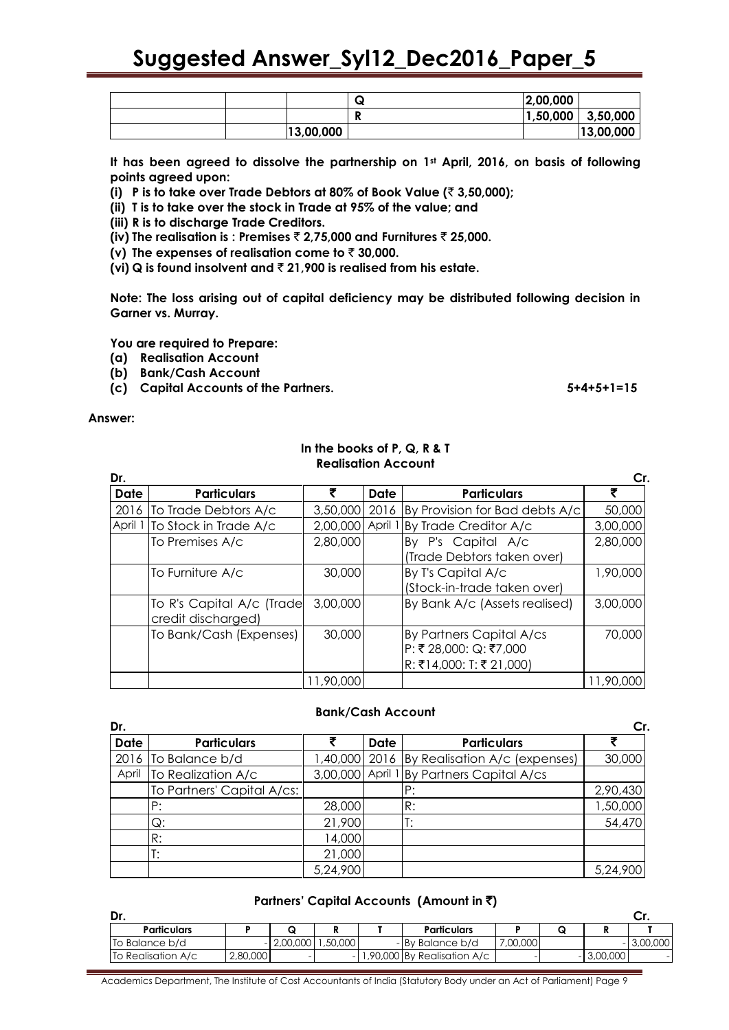|  |           | w | 2,00,000 |           |
|--|-----------|---|----------|-----------|
|  |           |   | 1,50,000 | 3,50,000  |
|  | 13,00,000 |   |          | 13,00,000 |

**It has been agreed to dissolve the partnership on 1st April, 2016, on basis of following points agreed upon:**

**(i) P is to take over Trade Debtors at 80% of Book Value (**` **3,50,000);**

**(ii) T is to take over the stock in Trade at 95% of the value; and**

**(iii) R is to discharge Trade Creditors.**

**(iv) The realisation is : Premises** ` **2,75,000 and Furnitures** ` **25,000.**

**(v)** The expenses of realisation come to  $\bar{\tau}$  30,000.

**(vi) Q is found insolvent and** ` **21,900 is realised from his estate.**

**Note: The loss arising out of capital deficiency may be distributed following decision in Garner vs. Murray.**

**You are required to Prepare:**

- **(a) Realisation Account**
- **(b) Bank/Cash Account**
- **(c) Capital Accounts of the Partners. 5+4+5+1=15**

**Answer:** 

#### **In the books of P, Q, R & T Realisation Account**

| Dr.         |                                                 |           |         |                                | Cr.       |
|-------------|-------------------------------------------------|-----------|---------|--------------------------------|-----------|
| <b>Date</b> | <b>Particulars</b>                              |           | Date    | <b>Particulars</b>             |           |
| 2016        | To Trade Debtors A/c                            | 3,50,000  | 2016    | By Provision for Bad debts A/c | 50,000    |
| April       | To Stock in Trade A/c                           | 2,00,000  | April 1 | By Trade Creditor A/c          | 3,00,000  |
|             | To Premises A/c                                 | 2,80,000  |         | By P's Capital A/c             | 2,80,000  |
|             |                                                 |           |         | (Trade Debtors taken over)     |           |
|             | To Furniture A/c                                | 30,000    |         | By T's Capital A/c             | 1,90,000  |
|             |                                                 |           |         | (Stock-in-trade taken over)    |           |
|             | To R's Capital A/c (Trade<br>credit discharged) | 3,00,000  |         | By Bank A/c (Assets realised)  | 3,00,000  |
|             | To Bank/Cash (Expenses)                         | 30,000    |         | By Partners Capital A/cs       | 70,000    |
|             |                                                 |           |         | P: ₹ 28,000: Q: ₹7,000         |           |
|             |                                                 |           |         | R: ₹14,000: T: ₹21,000         |           |
|             |                                                 | 11,90,000 |         |                                | 11,90,000 |

#### **Bank/Cash Account**

| Dr.         |                            |          |             |                                             | Cr.      |
|-------------|----------------------------|----------|-------------|---------------------------------------------|----------|
| <b>Date</b> | <b>Particulars</b>         |          | <b>Date</b> | <b>Particulars</b>                          |          |
| 2016        | To Balance b/d             |          |             | 1,40,000 2016 By Realisation A/c (expenses) | 30,000   |
| April       | To Realization A/c         |          |             | 3,00,000 April 1 By Partners Capital A/cs   |          |
|             | To Partners' Capital A/cs: |          |             | P:                                          | 2,90,430 |
|             | P:                         | 28,000   |             | R:                                          | 1,50,000 |
|             | Q:                         | 21,900   |             |                                             | 54,470   |
|             | R:                         | 14,000   |             |                                             |          |
|             | T:                         | 21,000   |             |                                             |          |
|             |                            | 5,24,900 |             |                                             | 5,24,900 |

|  |  | Partners' Capital Accounts (Amount in ₹) |  |  |  |
|--|--|------------------------------------------|--|--|--|
|--|--|------------------------------------------|--|--|--|

| <b>Particulars</b> |          |          |         | <b>Particulars</b>             |          |     |          |          |
|--------------------|----------|----------|---------|--------------------------------|----------|-----|----------|----------|
| To Balance b/d     |          | 2,00,000 | .50,000 | - By Balance b/d               | 7,00,000 |     |          | 3,00,000 |
| To Realisation A/c | 2,80,000 |          |         | $-1,90,000$ By Realisation A/c |          | - 1 | 3,00,000 |          |
|                    |          |          |         |                                |          |     |          |          |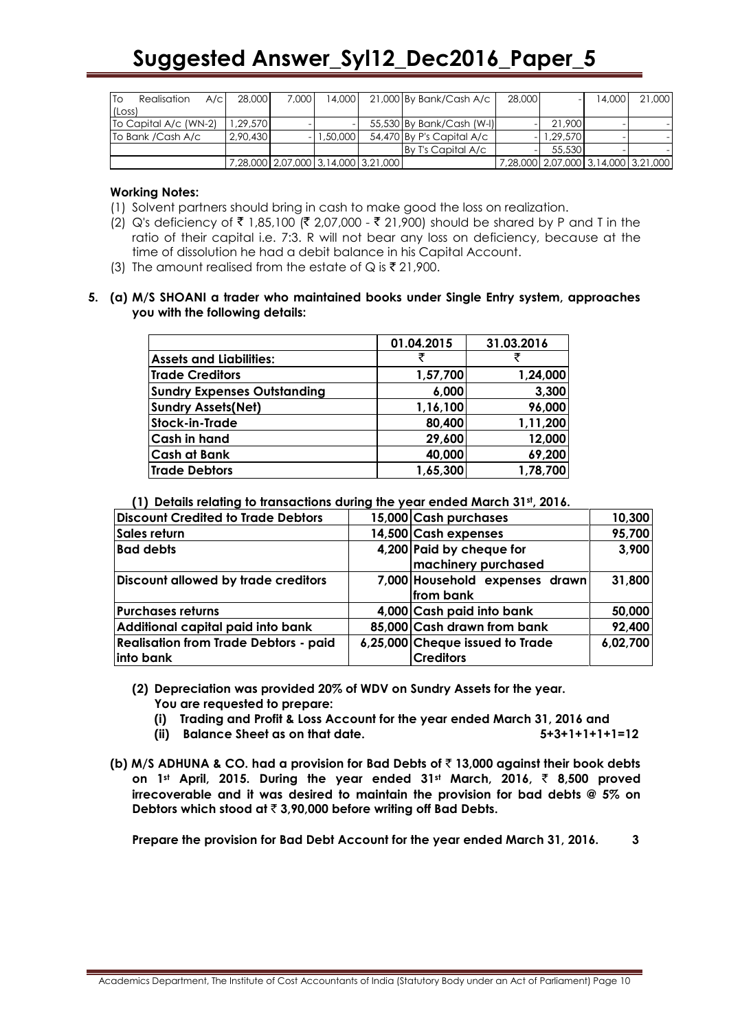| <b>ITo</b><br>Realisation<br>A/C | 28,000   | 7.000                                     | 14,000   | 21,000 By Bank/Cash A/c   | 28,000 |          | 14.000 | 21,000                                    |
|----------------------------------|----------|-------------------------------------------|----------|---------------------------|--------|----------|--------|-------------------------------------------|
| (Loss)                           |          |                                           |          |                           |        |          |        |                                           |
| To Capital A/c (WN-2)            | .29,570  |                                           |          | 55,530 By Bank/Cash (W-I) |        | 21,900   |        |                                           |
| To Bank / Cash A/c               | 2,90,430 |                                           | 1,50,000 | 54,470 By P's Capital A/c |        | 1.29.570 |        |                                           |
|                                  |          |                                           |          | By T's Capital A/c        |        | 55,530   |        |                                           |
|                                  |          | 7,28,000   2,07,000   3,14,000   3,21,000 |          |                           |        |          |        | 7,28,000   2,07,000   3,14,000   3,21,000 |

#### **Working Notes:**

- (1) Solvent partners should bring in cash to make good the loss on realization.
- (2) Q's deficiency of ₹ 1,85,100 (₹ 2,07,000 ₹ 21,900) should be shared by P and T in the ratio of their capital i.e. 7:3. R will not bear any loss on deficiency, because at the time of dissolution he had a debit balance in his Capital Account.
- (3) The amount realised from the estate of Q is  $\bar{\zeta}$  21,900.

#### **5. (a) M/S SHOANI a trader who maintained books under Single Entry system, approaches you with the following details:**

|                                    | 01.04.2015 | 31.03.2016 |
|------------------------------------|------------|------------|
| <b>Assets and Liabilities:</b>     | ₹          |            |
| <b>Trade Creditors</b>             | 1,57,700   | 1,24,000   |
| <b>Sundry Expenses Outstanding</b> | 6,000      | 3,300      |
| <b>Sundry Assets(Net)</b>          | 1,16,100   | 96,000     |
| <b>Stock-in-Trade</b>              | 80,400     | 1,11,200   |
| <b>Cash in hand</b>                | 29,600     | 12,000     |
| <b>Cash at Bank</b>                | 40,000     | 69,200     |
| <b>Trade Debtors</b>               | 1,65,300   | 1,78,700   |

**(1) Details relating to transactions during the year ended March 31st, 2016.**

| <b>Discount Credited to Trade Debtors</b>                 | 15,000 Cash purchases                               | 10,300   |
|-----------------------------------------------------------|-----------------------------------------------------|----------|
| Sales return                                              | 14,500 Cash expenses                                | 95,700   |
| <b>Bad debts</b>                                          | 4,200 Paid by cheque for<br>machinery purchased     | 3,900    |
| Discount allowed by trade creditors                       | 7,000 Household expenses drawn<br>from bank         | 31,800   |
| <b>Purchases returns</b>                                  | 4,000 Cash paid into bank                           | 50,000   |
| Additional capital paid into bank                         | 85,000 Cash drawn from bank                         | 92,400   |
| <b>Realisation from Trade Debtors - paid</b><br>into bank | 6,25,000 Cheque issued to Trade<br><b>Creditors</b> | 6,02,700 |

**(2) Depreciation was provided 20% of WDV on Sundry Assets for the year. You are requested to prepare:**

- **(i) Trading and Profit & Loss Account for the year ended March 31, 2016 and**
- **(ii) Balance Sheet as on that date. 5+3+1+1+1+1=12**
- **(b) M/S ADHUNA & CO. had a provision for Bad Debts of** ` **13,000 against their book debts on 1st April, 2015. During the year ended 31st March, 2016,** ` **8,500 proved irrecoverable and it was desired to maintain the provision for bad debts @ 5% on Debtors which stood at** ` **3,90,000 before writing off Bad Debts.**

**Prepare the provision for Bad Debt Account for the year ended March 31, 2016. 3**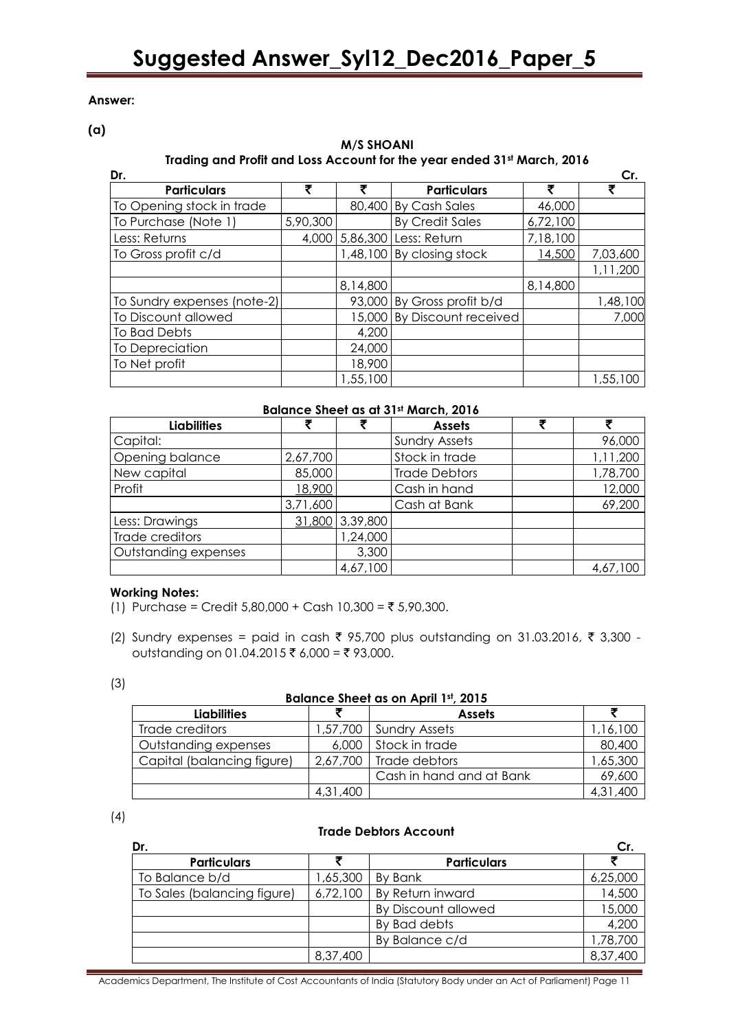#### **Answer:**

**(a)**

### **M/S SHOANI Trading and Profit and Loss Account for the year ended 31st March, 2016**

| Dr.                         |          |          |                           |          | Cr.      |
|-----------------------------|----------|----------|---------------------------|----------|----------|
| <b>Particulars</b>          | ₹        | ₹        | <b>Particulars</b>        | ₹        | ₹        |
| To Opening stock in trade   |          | 80,400   | <b>By Cash Sales</b>      | 46,000   |          |
| To Purchase (Note 1)        | 5,90,300 |          | <b>By Credit Sales</b>    | 6,72,100 |          |
| Less: Returns               | 4,000    | 5,86,300 | Less: Return              | 7,18,100 |          |
| To Gross profit c/d         |          |          | 1,48,100 By closing stock | 14,500   | 7,03,600 |
|                             |          |          |                           |          | 1,11,200 |
|                             |          | 8,14,800 |                           | 8,14,800 |          |
| To Sundry expenses (note-2) |          | 93,000   | By Gross profit b/d       |          | 1,48,100 |
| To Discount allowed         |          | 15,000   | By Discount received      |          | 7,000    |
| To Bad Debts                |          | 4,200    |                           |          |          |
| To Depreciation             |          | 24,000   |                           |          |          |
| To Net profit               |          | 18,900   |                           |          |          |
|                             |          | ,55,100  |                           |          | 1,55,100 |

#### **Balance Sheet as at 31st March, 2016**

| <b>Liabilities</b>   |          |          | <b>Assets</b>        | ₹ |          |
|----------------------|----------|----------|----------------------|---|----------|
| Capital:             |          |          | <b>Sundry Assets</b> |   | 96,000   |
| Opening balance      | 2,67,700 |          | Stock in trade       |   | 1,11,200 |
| New capital          | 85,000   |          | <b>Trade Debtors</b> |   | 1,78,700 |
| Profit               | 18,900   |          | Cash in hand         |   | 12,000   |
|                      | 3,71,600 |          | Cash at Bank         |   | 69,200   |
| Less: Drawings       | 31,800   | 3,39,800 |                      |   |          |
| Trade creditors      |          | 1,24,000 |                      |   |          |
| Outstanding expenses |          | 3,300    |                      |   |          |
|                      |          | 4,67,100 |                      |   | 4,67,100 |

#### **Working Notes:**

(1) Purchase = Credit  $5,80,000 +$  Cash  $10,300 = ₹ 5,90,300$ .

(2) Sundry expenses = paid in cash ₹ 95,700 plus outstanding on 31.03.2016, ₹ 3,300 outstanding on 01.04.2015 ₹ 6,000 = ₹ 93,000.

| ×<br>×             |  |
|--------------------|--|
| I<br>۰.<br>×<br>۰. |  |

#### **Balance Sheet as on April 1st, 2015**

| <b>Liabilities</b>         |          | <b>Assets</b>            |          |  |  |  |
|----------------------------|----------|--------------------------|----------|--|--|--|
| Trade creditors            |          | 1,57,700   Sundry Assets | 1,16,100 |  |  |  |
| Outstanding expenses       |          | 6,000 Stock in trade     | 80,400   |  |  |  |
| Capital (balancing figure) |          | $2,67,700$ Trade debtors | 1,65,300 |  |  |  |
|                            |          | Cash in hand and at Bank | 69,600   |  |  |  |
|                            | 4,31,400 |                          | 4,31,400 |  |  |  |

(4)

#### **Trade Debtors Account**

| Dr.                         |          |                     | Cr.      |
|-----------------------------|----------|---------------------|----------|
| <b>Particulars</b>          |          | <b>Particulars</b>  |          |
| To Balance b/d              | 1,65,300 | By Bank             | 6,25,000 |
| To Sales (balancing figure) | 6,72,100 | By Return inward    | 14,500   |
|                             |          | By Discount allowed | 15,000   |
|                             |          | By Bad debts        | 4,200    |
|                             |          | By Balance c/d      | 1,78,700 |
|                             | 8,37,400 |                     | 8,37,400 |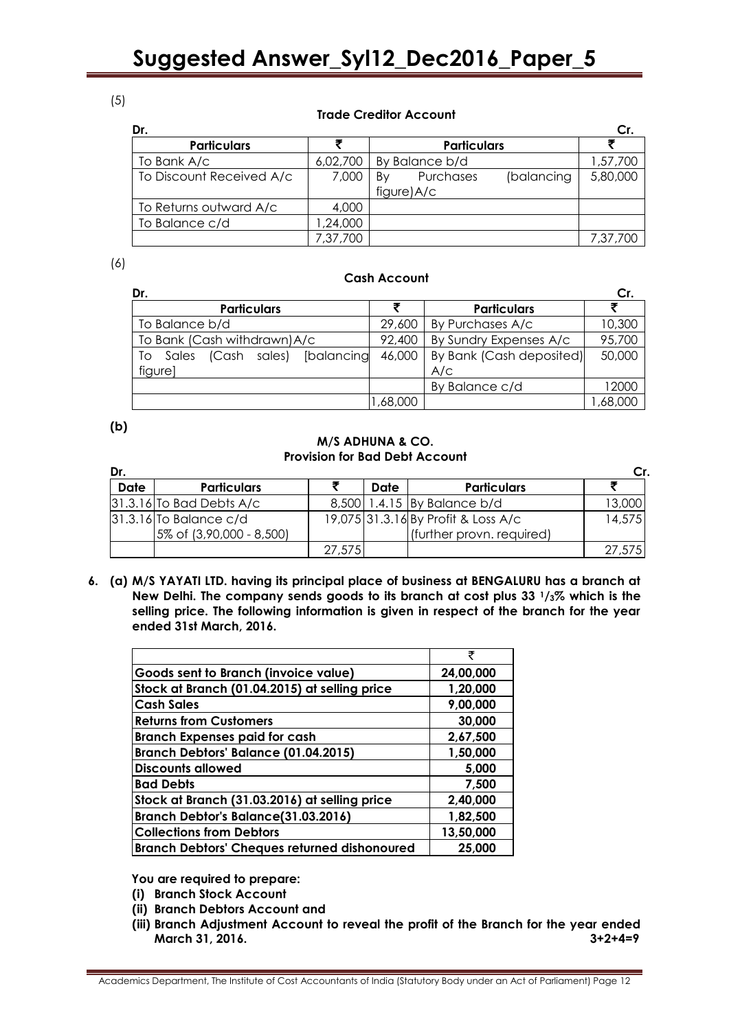### (5)

#### **Trade Creditor Account**

| Dr.                      |          |                               | Cr.      |
|--------------------------|----------|-------------------------------|----------|
| <b>Particulars</b>       |          | <b>Particulars</b>            |          |
| To Bank A/c              | 6,02,700 | By Balance b/d                | 1,57,700 |
| To Discount Received A/c | 7,000    | (balancing<br>Purchases<br>Bv | 5,80,000 |
|                          |          | figure)A/c                    |          |
| To Returns outward A/c   | 4,000    |                               |          |
| To Balance c/d           | ,24,000  |                               |          |
|                          | 7,37,700 |                               | 7,37,700 |

#### (6)

#### **Cash Account**

| Dr.                                       |         |                          | Cr.     |
|-------------------------------------------|---------|--------------------------|---------|
| <b>Particulars</b>                        |         | <b>Particulars</b>       |         |
| To Balance b/d                            | 29,600  | By Purchases A/c         | 10,300  |
| To Bank (Cash withdrawn) A/c              | 92,400  | By Sundry Expenses A/c   | 95,700  |
| sales) [balancing<br>(Cash<br>Sales<br>Τo | 46,000  | By Bank (Cash deposited) | 50,000  |
| figure]                                   |         | A/C                      |         |
|                                           |         | By Balance c/d           | 12000   |
|                                           | ,68,000 |                          | ,68,000 |

#### **(b)**

#### **M/S ADHUNA & CO. Provision for Bad Debt Account**

| Dr.         |                              |        |      |                                     | Сr.    |
|-------------|------------------------------|--------|------|-------------------------------------|--------|
| <b>Date</b> | <b>Particulars</b>           |        | Date | <b>Particulars</b>                  |        |
|             | $ 31.3.16 $ To Bad Debts A/c |        |      | 8,500 1.4.15 By Balance b/d         | 13,000 |
|             | $31.3.16$ To Balance c/d     |        |      | 19,075 31.3.16 By Profit & Loss A/c | 14,575 |
|             | 5% of (3,90,000 - 8,500)     |        |      | (further provn. required)           |        |
|             |                              | 27,575 |      |                                     | 27,575 |

**6. (a) M/S YAYATI LTD. having its principal place of business at BENGALURU has a branch at New Delhi. The company sends goods to its branch at cost plus 33 1/3% which is the selling price. The following information is given in respect of the branch for the year ended 31st March, 2016.**

|                                                     | ₹         |
|-----------------------------------------------------|-----------|
| Goods sent to Branch (invoice value)                | 24,00,000 |
| Stock at Branch (01.04.2015) at selling price       | 1,20,000  |
| <b>Cash Sales</b>                                   | 9,00,000  |
| <b>Returns from Customers</b>                       | 30,000    |
| <b>Branch Expenses paid for cash</b>                | 2,67,500  |
| Branch Debtors' Balance (01.04.2015)                | 1,50,000  |
| <b>Discounts allowed</b>                            | 5.000     |
| <b>Bad Debts</b>                                    | 7,500     |
| Stock at Branch (31.03.2016) at selling price       | 2,40,000  |
| Branch Debtor's Balance(31.03.2016)                 | 1,82,500  |
| <b>Collections from Debtors</b>                     | 13,50,000 |
| <b>Branch Debtors' Cheques returned dishonoured</b> | 25,000    |

**You are required to prepare:**

- **(i) Branch Stock Account**
- **(ii) Branch Debtors Account and**
- **(iii) Branch Adjustment Account to reveal the profit of the Branch for the year ended March 31, 2016. 3+2+4=9**

Academics Department, The Institute of Cost Accountants of India (Statutory Body under an Act of Parliament) Page 12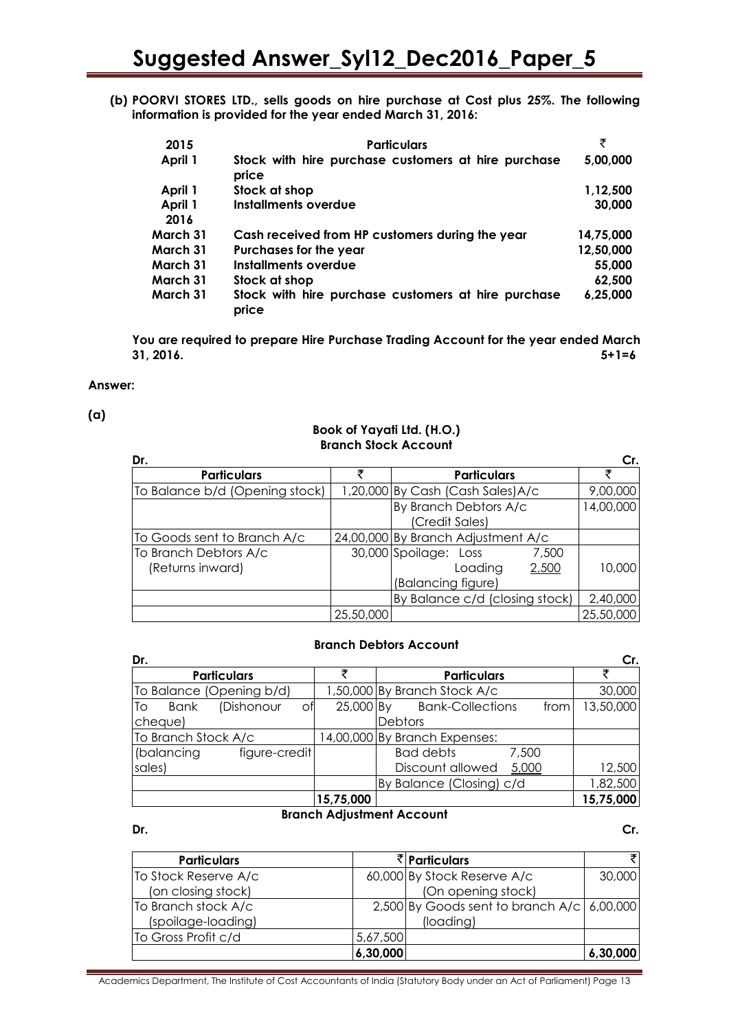**(b) POORVI STORES LTD., sells goods on hire purchase at Cost plus 25%. The following information is provided for the year ended March 31, 2016:**

| 2015     | <b>Particulars</b>                                           | ₹         |
|----------|--------------------------------------------------------------|-----------|
| April 1  | Stock with hire purchase customers at hire purchase<br>price | 5,00,000  |
| April 1  | Stock at shop                                                | 1,12,500  |
| April 1  | <b>Installments overdue</b>                                  | 30,000    |
| 2016     |                                                              |           |
| March 31 | Cash received from HP customers during the year              | 14,75,000 |
| March 31 | Purchases for the year                                       | 12,50,000 |
| March 31 | Installments overdue                                         | 55,000    |
| March 31 | Stock at shop                                                | 62,500    |
| March 31 | Stock with hire purchase customers at hire purchase<br>price | 6,25,000  |

**You are required to prepare Hire Purchase Trading Account for the year ended March 31, 2016. 5+1=6**

#### **Answer:**

#### **(a)**

#### **Book of Yayati Ltd. (H.O.) Branch Stock Account**

| Dr.                                       |           |                                                                          | Cr.       |
|-------------------------------------------|-----------|--------------------------------------------------------------------------|-----------|
| <b>Particulars</b>                        | ヺ         | <b>Particulars</b>                                                       | ₹         |
| To Balance b/d (Opening stock)            |           | 1,20,000 By Cash (Cash Sales) A/c                                        | 9,00,000  |
|                                           |           | By Branch Debtors A/c<br>(Credit Sales)                                  | 14,00,000 |
| To Goods sent to Branch A/c               |           | 24,00,000 By Branch Adjustment A/c                                       |           |
| To Branch Debtors A/c<br>(Returns inward) |           | 30,000 Spoilage: Loss<br>7,500<br>2,500<br>Loading<br>(Balancing figure) | 10,000    |
|                                           |           | By Balance c/d (closing stock)                                           | 2,40,000  |
|                                           | 25,50,000 |                                                                          | 25,50,000 |

#### **Branch Debtors Account**

| Dr.                                    |                               |                                 | Cr.       |
|----------------------------------------|-------------------------------|---------------------------------|-----------|
| <b>Particulars</b>                     |                               | <b>Particulars</b>              |           |
| To Balance (Opening b/d)               |                               | 1,50,000 By Branch Stock A/c    | 30,000    |
| (Dishonour<br>Оf<br><b>T</b> o<br>Bank | 25,000 By                     | <b>Bank-Collections</b><br>from | 13,50,000 |
| cheque)                                |                               | Debtors                         |           |
| To Branch Stock A/c                    | 14,00,000 By Branch Expenses: |                                 |           |
| (balancing<br>figure-credit            |                               | <b>Bad debts</b><br>7,500       |           |
| sales)                                 |                               | Discount allowed<br>5,000       | 12,500    |
|                                        |                               | By Balance (Closing) c/d        | 1,82,500  |
|                                        | 15,75,000                     |                                 | 15,75,000 |

### **Branch Adjustment Account**

**Dr. Cr.**

| <b>Particulars</b>   |          | ₹ Particulars                              | ₹I       |
|----------------------|----------|--------------------------------------------|----------|
| To Stock Reserve A/c |          | 60,000 By Stock Reserve A/c                | 30,000   |
| (on closing stock)   |          | (On opening stock)                         |          |
| To Branch stock A/c  |          | 2,500 By Goods sent to branch A/c 6,00,000 |          |
| (spoilage-loading)   |          | (loading)                                  |          |
| To Gross Profit c/d  | 5,67,500 |                                            |          |
|                      | 6,30,000 |                                            | 6,30,000 |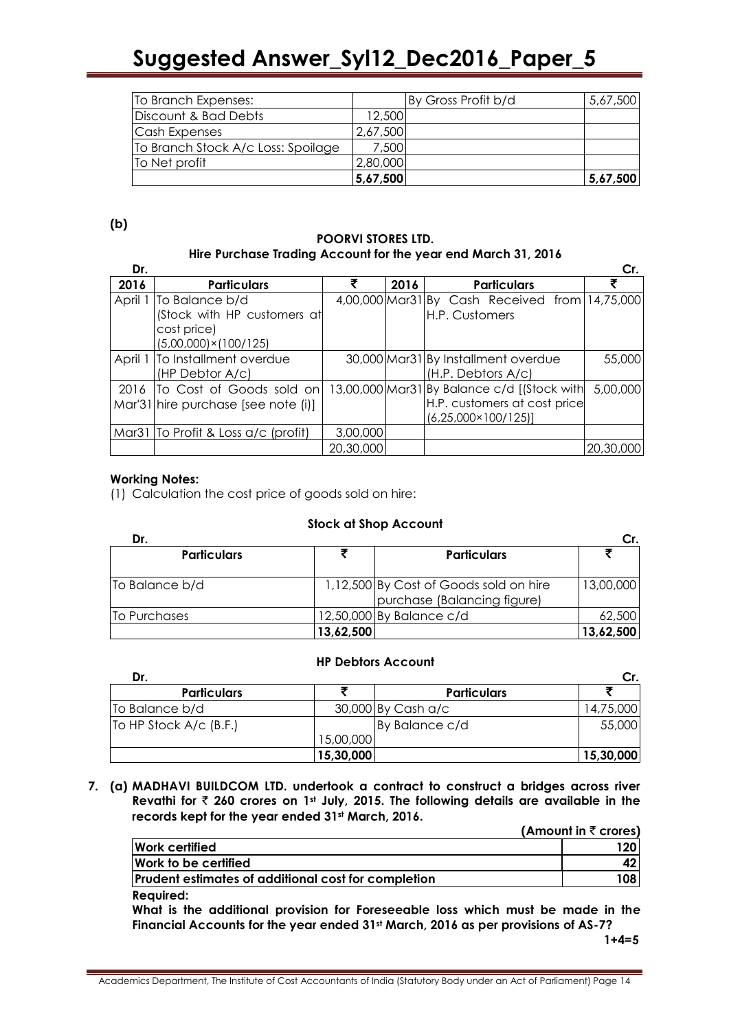| To Branch Expenses:                |          | By Gross Profit b/d | 5,67,500 |
|------------------------------------|----------|---------------------|----------|
| Discount & Bad Debts               | 12,500   |                     |          |
| Cash Expenses                      | 2,67,500 |                     |          |
| To Branch Stock A/c Loss: Spoilage | 7,500    |                     |          |
| To Net profit                      | 2,80,000 |                     |          |
|                                    | 5,67,500 |                     | 5,67,500 |

**(b)**

#### **POORVI STORES LTD. Hire Purchase Trading Account for the year end March 31, 2016**

| Dr.     |                                                                                               |           |      |                                                                                                             | Cr.       |
|---------|-----------------------------------------------------------------------------------------------|-----------|------|-------------------------------------------------------------------------------------------------------------|-----------|
| 2016    | <b>Particulars</b>                                                                            |           | 2016 | <b>Particulars</b>                                                                                          |           |
| April 1 | To Balance b/d<br>(Stock with HP customers at<br>cost price)<br>$(5,00,000) \times (100/125)$ |           |      | 4,00,000 Mar31 By Cash Received from 14,75,000<br>H.P. Customers                                            |           |
|         | April 1 To Installment overdue<br>(HP Debtor A/c)                                             |           |      | 30,000 Mar31 By Installment overdue<br>(H.P. Debtors A/c)                                                   | 55,000    |
|         | 2016 To Cost of Goods sold on<br>Mar'31 hire purchase [see note (i)]                          |           |      | 13,00,000 Mar31 By Balance c/d [(Stock with<br>H.P. customers at cost price<br>$(6,25,000 \times 100/125)]$ | 5,00,000  |
|         | Mar31 To Profit & Loss a/c (profit)                                                           | 3,00,000  |      |                                                                                                             |           |
|         |                                                                                               | 20,30,000 |      |                                                                                                             | 20,30,000 |

### **Working Notes:**

(1) Calculation the cost price of goods sold on hire:

### **Stock at Shop Account**

| Dr.                |           |                                                                       |           |  |
|--------------------|-----------|-----------------------------------------------------------------------|-----------|--|
| <b>Particulars</b> |           | <b>Particulars</b>                                                    |           |  |
| To Balance b/d     |           | 1,12,500 By Cost of Goods sold on hire<br>purchase (Balancing figure) | 13,00,000 |  |
| To Purchases       |           | 12,50,000 By Balance c/d                                              | 62,500    |  |
|                    | 13,62,500 |                                                                       | 13,62,500 |  |

### **HP Debtors Account**

| Dr.                      |           |                    |           |
|--------------------------|-----------|--------------------|-----------|
| <b>Particulars</b>       |           | <b>Particulars</b> |           |
| To Balance b/d           |           | 30,000 By Cash a/c | 14,75,000 |
| [To HP Stock A/c (B.F.)] |           | By Balance c/d     | 55,000    |
|                          | 15,00,000 |                    |           |
|                          | 15,30,000 |                    | 15,30,000 |

**7. (a) MADHAVI BUILDCOM LTD. undertook a contract to construct a bridges across river Revathi for** ` **260 crores on 1st July, 2015. The following details are available in the records kept for the year ended 31st March, 2016.**

**(Amount in ₹ crores)** 

| Work certified                                             | 120 <sub>1</sub> |
|------------------------------------------------------------|------------------|
| Work to be certified                                       | 42               |
| <b>Prudent estimates of additional cost for completion</b> | 108              |
| <b>Required:</b>                                           |                  |

**What is the additional provision for Foreseeable loss which must be made in the Financial Accounts for the year ended 31st March, 2016 as per provisions of AS-7?**

 **1+4=5**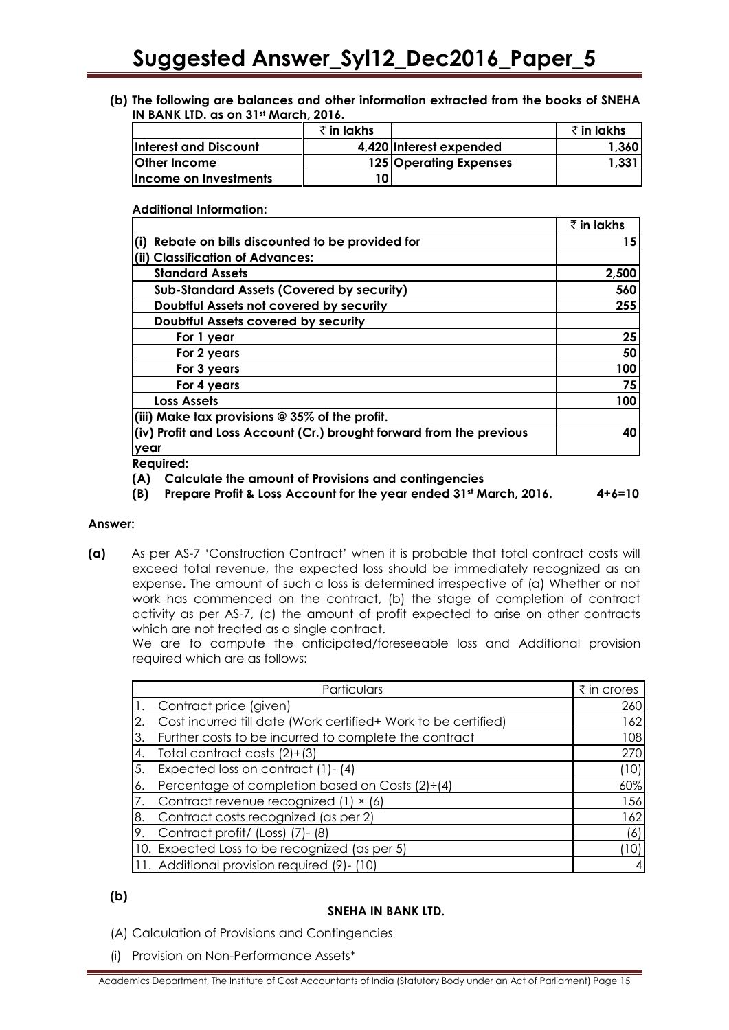**(b) The following are balances and other information extracted from the books of SNEHA IN BANK LTD. as on 31st March, 2016.**

|                       | र्रे in lakhs |                         | ₹in lakhs |
|-----------------------|---------------|-------------------------|-----------|
| Interest and Discount |               | 4,420 Interest expended | 1,360     |
| <b>Other Income</b>   |               | 125 Operating Expenses  | 1,331     |
| Income on Investments |               |                         |           |

**Additional Information:**

|                                                                      | ₹ in lakhs |
|----------------------------------------------------------------------|------------|
| Rebate on bills discounted to be provided for                        | 15         |
| (ii) Classification of Advances:                                     |            |
| <b>Standard Assets</b>                                               | 2,500      |
| <b>Sub-Standard Assets (Covered by security)</b>                     | 560        |
| Doubtful Assets not covered by security                              | 255        |
| Doubtful Assets covered by security                                  |            |
| For 1 year                                                           | 25         |
| For 2 years                                                          | 50         |
| For 3 years                                                          | 100        |
| For 4 years                                                          | 75         |
| <b>Loss Assets</b>                                                   | 100        |
| (iii) Make tax provisions $@35\%$ of the profit.                     |            |
| (iv) Profit and Loss Account (Cr.) brought forward from the previous | 40         |
| year                                                                 |            |
|                                                                      |            |

**Required:**

**(A) Calculate the amount of Provisions and contingencies**

**(B) Prepare Profit & Loss Account for the year ended 31st March, 2016. 4+6=10**

#### **Answer:**

**(a)** As per AS-7 'Construction Contract' when it is probable that total contract costs will exceed total revenue, the expected loss should be immediately recognized as an expense. The amount of such a loss is determined irrespective of (a) Whether or not work has commenced on the contract, (b) the stage of completion of contract activity as per AS-7, (c) the amount of profit expected to arise on other contracts which are not treated as a single contract.

We are to compute the anticipated/foreseeable loss and Additional provision required which are as follows:

|     | Particulars                                                    | $\bar{\tau}$ in crores |
|-----|----------------------------------------------------------------|------------------------|
| ı1. | Contract price (given)                                         | 260                    |
| 2.  | Cost incurred till date (Work certified+ Work to be certified) | 162                    |
| 3.  | Further costs to be incurred to complete the contract          | 108                    |
| .4. | Total contract costs (2)+(3)                                   | 270                    |
| 5.  | Expected loss on contract (1)-(4)                              | (10)                   |
| 6.  | Percentage of completion based on Costs $(2) \div (4)$         | 60%                    |
| 7.  | Contract revenue recognized (1) × (6)                          | 156                    |
|     | 8. Contract costs recognized (as per 2)                        | 162                    |
| 9.  | Contract profit/ (Loss) (7)- (8)                               | (6)                    |
|     | 10. Expected Loss to be recognized (as per 5)                  | [10]                   |
|     | 11. Additional provision required (9)- (10)                    | 4                      |

### **(b)**

#### **SNEHA IN BANK LTD.**

- (A) Calculation of Provisions and Contingencies
- (i) Provision on Non-Performance Assets\*

Academics Department, The Institute of Cost Accountants of India (Statutory Body under an Act of Parliament) Page 15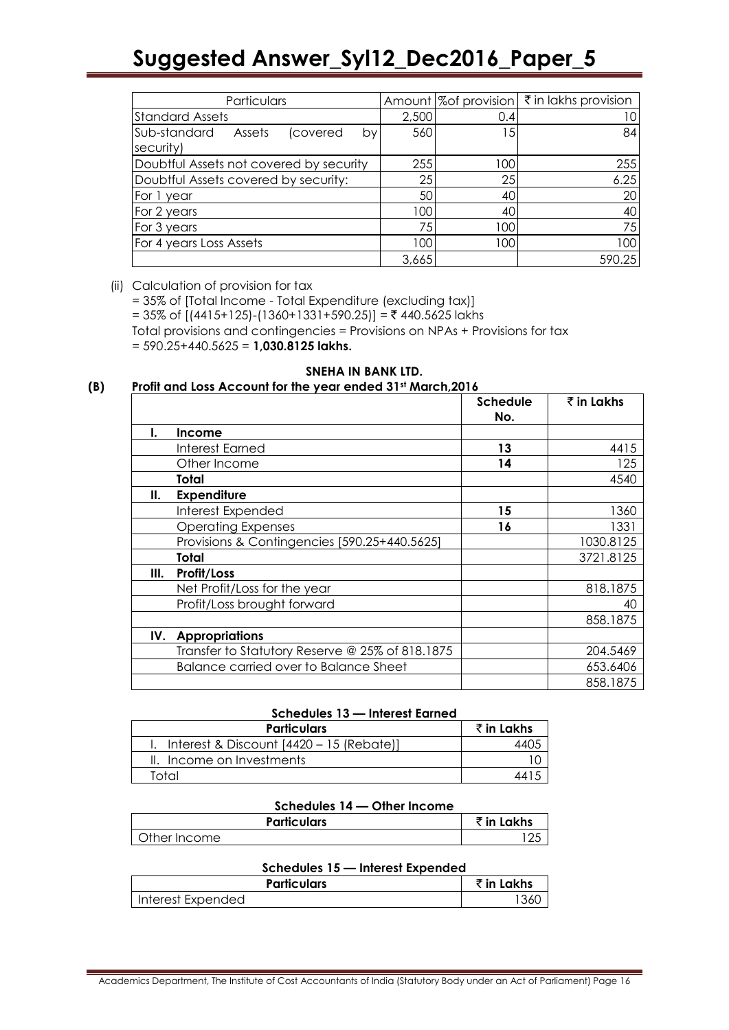| Particulars                                           |       |     | Amount  % of provision $\zeta$ in lakhs provision |
|-------------------------------------------------------|-------|-----|---------------------------------------------------|
| <b>Standard Assets</b>                                | 2,500 | 0.4 |                                                   |
| Sub-standard<br>Assets<br>(covered<br>bv<br>security) | 560   | 15  | 84                                                |
| Doubtful Assets not covered by security               | 255   | 100 | 255                                               |
| Doubtful Assets covered by security:                  | 25    | 25  | 6.25                                              |
| For 1 year                                            | 50    | 40  | 20                                                |
| For 2 years                                           | 100   | 40  | 40                                                |
| For 3 years                                           | 75    | 100 | 75                                                |
| For 4 years Loss Assets                               | 100   | 100 | 100                                               |
|                                                       | 3,665 |     | 590.25                                            |

#### (ii) Calculation of provision for tax

= 35% of [Total Income - Total Expenditure (excluding tax)] = 35% of  $[(4415+125)-(1360+1331+590.25)] = ₹ 440.5625$  lakhs Total provisions and contingencies = Provisions on NPAs + Provisions for tax = 590.25+440.5625 = **1,030.8125 lakhs.**

#### **SNEHA IN BANK LTD. (B) Profit and Loss Account for the year ended 31st March,2016**

|     |                                                 | <b>Schedule</b><br>No. | ₹ in Lakhs |
|-----|-------------------------------------------------|------------------------|------------|
| ı.  | <b>Income</b>                                   |                        |            |
|     | Interest Earned                                 | 13                     | 4415       |
|     | Other Income                                    | 14                     | 125        |
|     | Total                                           |                        | 4540       |
| Ш.  | <b>Expenditure</b>                              |                        |            |
|     | Interest Expended                               | 15                     | 1360       |
|     | <b>Operating Expenses</b>                       | 16                     | 1331       |
|     | Provisions & Contingencies [590.25+440.5625]    |                        | 1030.8125  |
|     | Total                                           |                        | 3721.8125  |
| Ш.  | Profit/Loss                                     |                        |            |
|     | Net Profit/Loss for the year                    |                        | 818.1875   |
|     | Profit/Loss brought forward                     |                        | 40         |
|     |                                                 |                        | 858.1875   |
| IV. | <b>Appropriations</b>                           |                        |            |
|     | Transfer to Statutory Reserve @ 25% of 818.1875 |                        | 204.5469   |
|     | <b>Balance carried over to Balance Sheet</b>    |                        | 653.6406   |
|     |                                                 |                        | 858.1875   |

#### **Schedules 13 — Interest Earned**

| <b>Particulars</b>                       | र्रे in Lakhs |
|------------------------------------------|---------------|
| Interest & Discount [4420 - 15 (Rebate)] | ΛAΙ           |
| II. Income on Investments                |               |
| Total                                    | 44            |

#### **Schedules 14 — Other Income**

| <b>Particulars</b> | $\bar{\tau}$ in Lakhs |
|--------------------|-----------------------|
| Other Income       |                       |

#### **Schedules 15 — Interest Expended**

| <b>Particulars</b> | ₹ in Lakhs |
|--------------------|------------|
| Interest Expended  |            |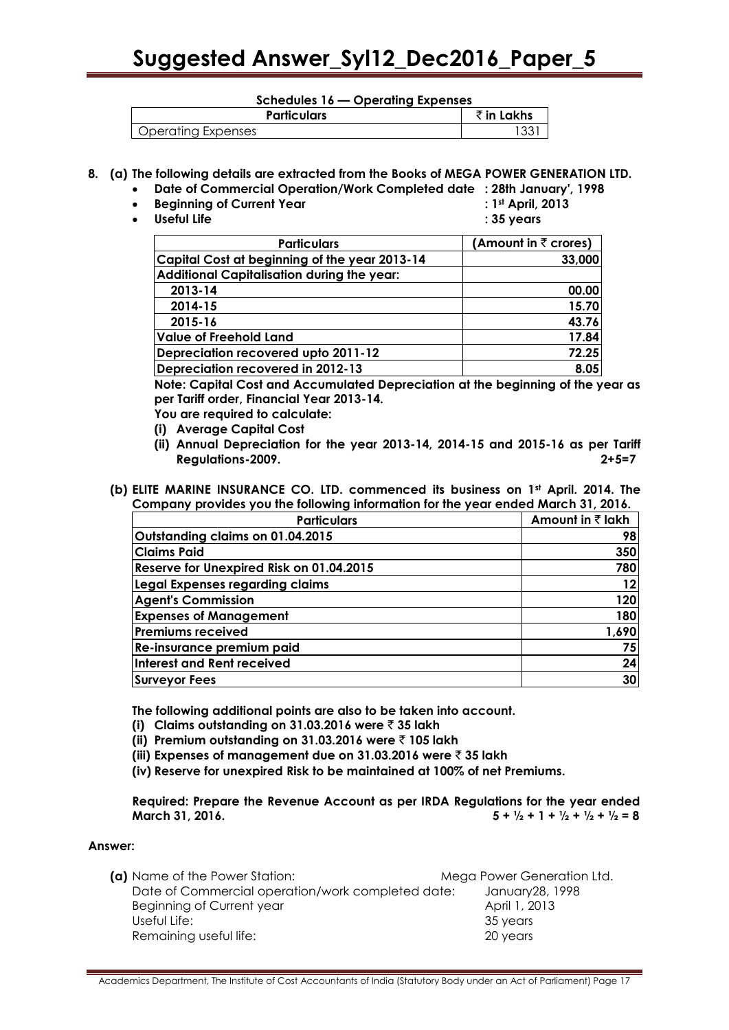#### **Schedules 16 — Operating Expenses**

| <b>Particulars</b>        | $\overline{\phantom{a}}$ in Le<br>.akhs |
|---------------------------|-----------------------------------------|
| <b>Operating Expenses</b> | w                                       |

#### **8. (a) The following details are extracted from the Books of MEGA POWER GENERATION LTD.**

- **Date of Commercial Operation/Work Completed date : 28th January', 1998**
- **•** Beginning of Current Year
- 
- **Useful Life : 35 years**

|  | : 1st April, 2013 |  |
|--|-------------------|--|
|  |                   |  |

| <b>Particulars</b>                                | (Amount in $\bar{z}$ crores) |
|---------------------------------------------------|------------------------------|
| Capital Cost at beginning of the year 2013-14     | 33,000                       |
| <b>Additional Capitalisation during the year:</b> |                              |
| 2013-14                                           | 00.00                        |
| 2014-15                                           | 15.70                        |
| 2015-16                                           | 43.76                        |
| <b>Value of Freehold Land</b>                     | 17.84                        |
| Depreciation recovered upto 2011-12               | 72.25                        |
| Depreciation recovered in 2012-13                 | 8.05                         |

**Note: Capital Cost and Accumulated Depreciation at the beginning of the year as per Tariff order, Financial Year 2013-14.**

**You are required to calculate:**

- **(i) Average Capital Cost**
- **(ii) Annual Depreciation for the year 2013-14, 2014-15 and 2015-16 as per Tariff Regulations-2009. 2+5=7**
- **(b) ELITE MARINE INSURANCE CO. LTD. commenced its business on 1st April. 2014. The Company provides you the following information for the year ended March 31, 2016.**

| <b>Particulars</b>                       | Amount in ₹ lakh |
|------------------------------------------|------------------|
| Outstanding claims on 01.04.2015         | 98               |
| <b>Claims Paid</b>                       | 350              |
| Reserve for Unexpired Risk on 01.04.2015 | 780              |
| Legal Expenses regarding claims          | 12               |
| <b>Agent's Commission</b>                | 120              |
| <b>Expenses of Management</b>            | 180              |
| <b>Premiums received</b>                 | 1,690            |
| Re-insurance premium paid                | 75               |
| Interest and Rent received               | 24               |
| Surveyor Fees                            | 30               |

**The following additional points are also to be taken into account.** 

- **(i) Claims outstanding on 31.03.2016 were** ` **35 lakh**
- **(ii) Premium outstanding on 31.03.2016 were** ` **105 lakh**
- **(iii) Expenses of management due on 31.03.2016 were** ` **35 lakh**

**(iv) Reserve for unexpired Risk to be maintained at 100% of net Premiums.**

**Required: Prepare the Revenue Account as per IRDA Regulations for the year ended March 31, 2016.**  $5 + \frac{1}{2} + 1 + \frac{1}{2} + \frac{1}{2} + \frac{1}{2} = 8$ 

#### **Answer:**

| (a) Name of the Power Station:                    | Mega Power Generation Ltd. |
|---------------------------------------------------|----------------------------|
| Date of Commercial operation/work completed date: | January 28, 1998           |
| Beginning of Current year                         | April 1, 2013              |
| Useful Life:                                      | 35 years                   |
| Remaining useful life:                            | 20 years                   |
|                                                   |                            |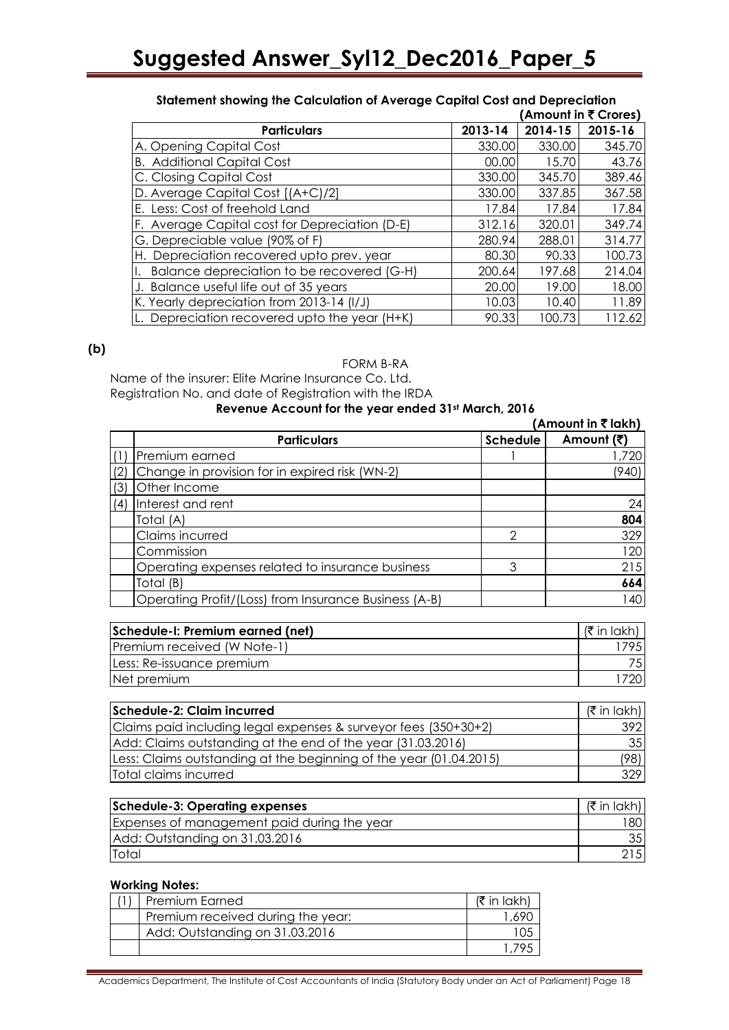|                                                |         |         | (Amount in ₹ Crores) |
|------------------------------------------------|---------|---------|----------------------|
| <b>Particulars</b>                             | 2013-14 | 2014-15 | 2015-16              |
| A. Opening Capital Cost                        | 330.00  | 330.00  | 345.70               |
| <b>B.</b> Additional Capital Cost              | 00.00   | 15.70   | 43.76                |
| C. Closing Capital Cost                        | 330.00  | 345.70  | 389.46               |
| D. Average Capital Cost [(A+C)/2]              | 330.00  | 337.85  | 367.58               |
| E. Less: Cost of freehold Land                 | 17.84   | 17.84   | 17.84                |
| F. Average Capital cost for Depreciation (D-E) | 312.16  | 320.01  | 349.74               |
| G. Depreciable value (90% of F)                | 280.94  | 288.01  | 314.77               |
| H. Depreciation recovered upto prev. year      | 80.30   | 90.33   | 100.73               |
| Balance depreciation to be recovered (G-H)     | 200.64  | 197.68  | 214.04               |
| J. Balance useful life out of 35 years         | 20.00   | 19.00   | 18.00                |
| K. Yearly depreciation from 2013-14 (I/J)      | 10.03   | 10.40   | 11.89                |
| Depreciation recovered upto the year (H+K)     | 90.33   | 100.73  | 112.62               |

### **Statement showing the Calculation of Average Capital Cost and Depreciation**

#### **(b)**

#### FORM B-RA

Name of the insurer: Elite Marine Insurance Co. Ltd. Registration No. and date of Registration with the IRDA

### **Revenue Account for the year ended 31st March, 2016**

|     |                                                       |                 | (Amount in ₹ lakh) |
|-----|-------------------------------------------------------|-----------------|--------------------|
|     | <b>Particulars</b>                                    | <b>Schedule</b> | Amount (₹)         |
|     | Premium earned                                        |                 | 1,720              |
| (2) | Change in provision for in expired risk (WN-2)        |                 | (940)              |
| (3) | Other Income                                          |                 |                    |
| (4) | Interest and rent                                     |                 | 24                 |
|     | Total (A)                                             |                 | 804                |
|     | Claims incurred                                       | 2               | 329                |
|     | Commission                                            |                 | 120                |
|     | Operating expenses related to insurance business      | 3               | 215                |
|     | Total (B)                                             |                 | 664                |
|     | Operating Profit/(Loss) from Insurance Business (A-B) |                 | 140                |

| Schedule-I: Premium earned (net) | (₹ in lakh |
|----------------------------------|------------|
| Premium received (W Note-1)      | 795I       |
| Less: Re-issuance premium        |            |
| Net premium                      |            |

| Schedule-2: Claim incurred                                         |                 |  |
|--------------------------------------------------------------------|-----------------|--|
| Claims paid including legal expenses & surveyor fees (350+30+2)    | 3921            |  |
| Add: Claims outstanding at the end of the year (31.03.2016)        | 35 <sub>l</sub> |  |
| Less: Claims outstanding at the beginning of the year (01.04.2015) |                 |  |
| Total claims incurred                                              | 329             |  |

| <b>Schedule-3: Operating expenses</b>       | (₹ in lakh)     |
|---------------------------------------------|-----------------|
| Expenses of management paid during the year | 80              |
| Add: Outstanding on 31.03.2016              | 35 <sub>1</sub> |
| Total                                       |                 |

#### **Working Notes:**

| Premium Earned                    | $\sqrt{5}$ in lakh |
|-----------------------------------|--------------------|
| Premium received during the year: | .69C               |
| Add: Outstanding on 31.03.2016    |                    |
|                                   |                    |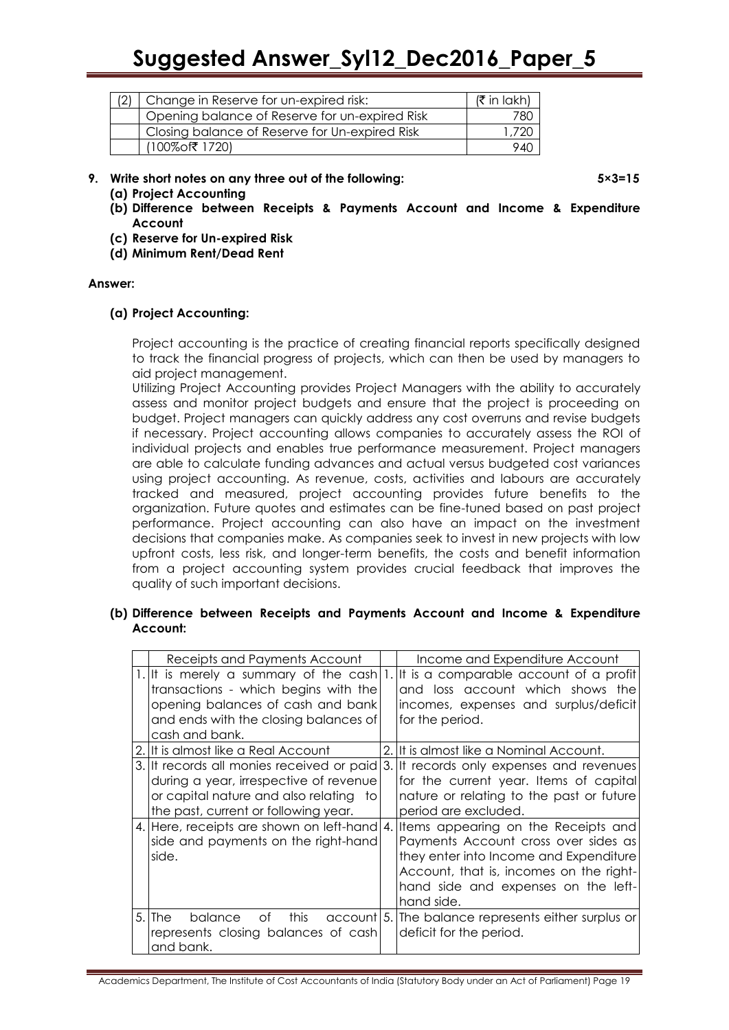| Change in Reserve for un-expired risk:         |       |
|------------------------------------------------|-------|
| Opening balance of Reserve for un-expired Risk | 780.  |
| Closing balance of Reserve for Un-expired Risk | 1.720 |
| (100%of₹ 1720)                                 | 940   |

**9. Write short notes on any three out of the following: 5×3=15**

- **(a) Project Accounting**
- **(b) Difference between Receipts & Payments Account and Income & Expenditure Account**
- **(c) Reserve for Un-expired Risk**
- **(d) Minimum Rent/Dead Rent**

#### **Answer:**

#### **(a) Project Accounting:**

Project accounting is the practice of creating financial reports specifically designed to track the financial progress of projects, which can then be used by managers to aid project management.

Utilizing Project Accounting provides Project Managers with the ability to accurately assess and monitor project budgets and ensure that the project is proceeding on budget. Project managers can quickly address any cost overruns and revise budgets if necessary. Project accounting allows companies to accurately assess the ROI of individual projects and enables true performance measurement. Project managers are able to calculate funding advances and actual versus budgeted cost variances using project accounting. As revenue, costs, activities and labours are accurately tracked and measured, project accounting provides future benefits to the organization. Future quotes and estimates can be fine-tuned based on past project performance. Project accounting can also have an impact on the investment decisions that companies make. As companies seek to invest in new projects with low upfront costs, less risk, and longer-term benefits, the costs and benefit information from a project accounting system provides crucial feedback that improves the quality of such important decisions.

#### **(b) Difference between Receipts and Payments Account and Income & Expenditure Account:**

| Receipts and Payments Account                                                                                                                                                                                                                                     | Income and Expenditure Account                                                                                                                                                                                                                                                                                                                                                     |
|-------------------------------------------------------------------------------------------------------------------------------------------------------------------------------------------------------------------------------------------------------------------|------------------------------------------------------------------------------------------------------------------------------------------------------------------------------------------------------------------------------------------------------------------------------------------------------------------------------------------------------------------------------------|
| transactions - which begins with the<br>opening balances of cash and bank<br>and ends with the closing balances of<br>cash and bank.                                                                                                                              | 1. It is merely a summary of the cash $ 1 $ . It is a comparable account of a profit<br>and loss account which shows the<br>incomes, expenses and surplus/deficit<br>for the period.                                                                                                                                                                                               |
| 2. It is almost like a Real Account                                                                                                                                                                                                                               | 2. It is almost like a Nominal Account.                                                                                                                                                                                                                                                                                                                                            |
| 3. It records all monies received or paid<br>during a year, irrespective of revenue<br>or capital nature and also relating to<br>the past, current or following year.<br>4. Here, receipts are shown on left-hand<br>side and payments on the right-hand<br>side. | 3. It records only expenses and revenues<br>for the current year. Items of capital<br>nature or relating to the past or future<br>period are excluded.<br>4. Items appearing on the Receipts and<br>Payments Account cross over sides as<br>they enter into Income and Expenditure<br>Account, that is, incomes on the right-<br>hand side and expenses on the left-<br>hand side. |
| $5.$ The<br>this<br>balance<br>Οf<br>represents closing balances of cash<br>and bank.                                                                                                                                                                             | account 5. The balance represents either surplus or<br>deficit for the period.                                                                                                                                                                                                                                                                                                     |